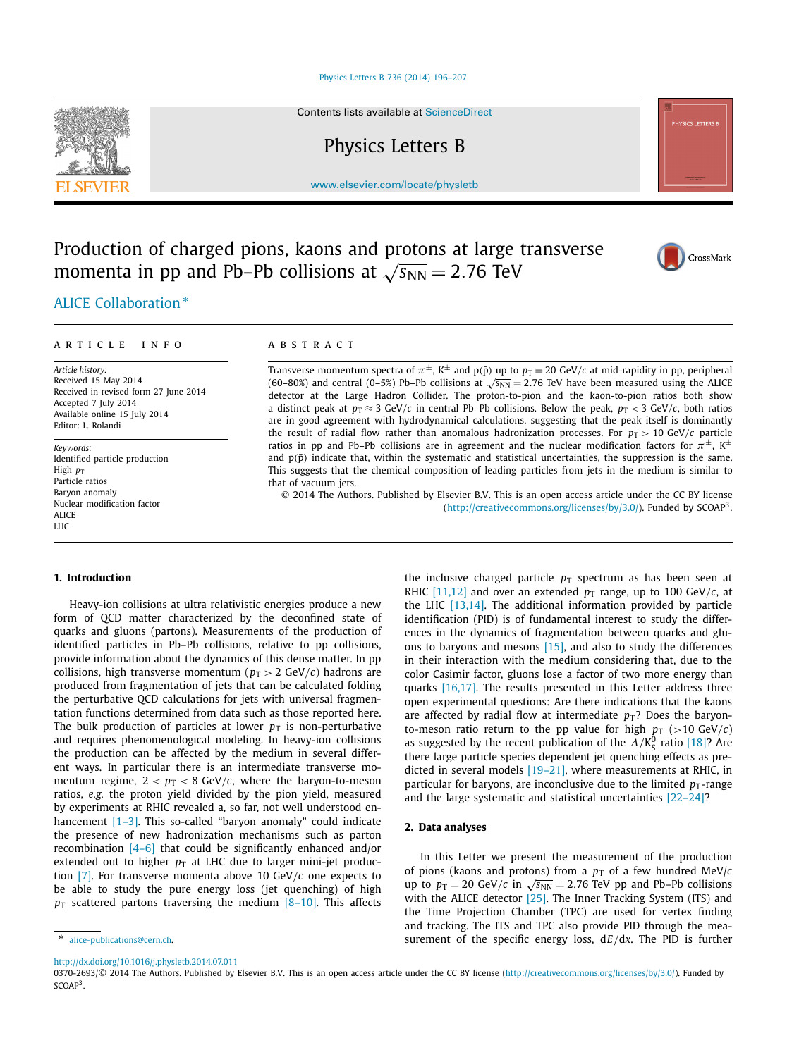#### [Physics Letters B 736 \(2014\) 196–207](http://dx.doi.org/10.1016/j.physletb.2014.07.011)

Contents lists available at [ScienceDirect](http://www.ScienceDirect.com/)

Physics Letters B

[www.elsevier.com/locate/physletb](http://www.elsevier.com/locate/physletb)



# Production of charged pions, kaons and protons at large transverse momenta in pp and Pb–Pb collisions at  $\sqrt{s_{NN}} = 2.76$  TeV



## .ALICE [Collaboration](#page-7-0) ∗

#### A R T I C L E I N F O A B S T R A C T

*Article history:* Received 15 May 2014 Received in revised form 27 June 2014 Accepted 7 July 2014 Available online 15 July 2014 Editor: L. Rolandi

*Keywords:* Identified particle production High  $p_T$ Particle ratios Baryon anomaly Nuclear modification factor **ALICE** LHC

Transverse momentum spectra of  $\pi^{\pm}$ , K<sup> $\pm$ </sup> and p( $\bar{p}$ ) up to  $p_T = 20$  GeV/*c* at mid-rapidity in pp, peripheral (60–80%) and central (0–5%) Pb–Pb collisions at  $\sqrt{s_{NN}}$  = 2.76 TeV have been measured using the ALICE detector at the Large Hadron Collider. The proton-to-pion and the kaon-to-pion ratios both show a distinct peak at  $p_T \approx 3$  GeV/*c* in central Pb–Pb collisions. Below the peak,  $p_T < 3$  GeV/*c*, both ratios are in good agreement with hydrodynamical calculations, suggesting that the peak itself is dominantly the result of radial flow rather than anomalous hadronization processes. For  $p_T > 10$  GeV/*c* particle ratios in pp and Pb–Pb collisions are in agreement and the nuclear modification factors for  $\pi^{\pm}$ , K<sup> $\pm$ </sup> and  $p(\bar{p})$  indicate that, within the systematic and statistical uncertainties, the suppression is the same. This suggests that the chemical composition of leading particles from jets in the medium is similar to that of vacuum jets.

© 2014 The Authors. Published by Elsevier B.V. This is an open access article under the CC BY license [\(http://creativecommons.org/licenses/by/3.0/\)](http://creativecommons.org/licenses/by/3.0/). Funded by SCOAP3.

#### **1. Introduction**

Heavy-ion collisions at ultra relativistic energies produce a new form of QCD matter characterized by the deconfined state of quarks and gluons (partons). Measurements of the production of identified particles in Pb–Pb collisions, relative to pp collisions, provide information about the dynamics of this dense matter. In pp collisions, high transverse momentum ( $p<sub>T</sub>$  > 2 GeV/*c*) hadrons are produced from fragmentation of jets that can be calculated folding the perturbative QCD calculations for jets with universal fragmentation functions determined from data such as those reported here. The bulk production of particles at lower  $p_T$  is non-perturbative and requires phenomenological modeling. In heavy-ion collisions the production can be affected by the medium in several different ways. In particular there is an intermediate transverse momentum regime,  $2 < p_T < 8$  GeV/*c*, where the baryon-to-meson ratios, *e.g.* the proton yield divided by the pion yield, measured by experiments at RHIC revealed a, so far, not well understood enhancement  $[1-3]$ . This so-called "baryon anomaly" could indicate the presence of new hadronization mechanisms such as parton recombination  $[4-6]$  that could be significantly enhanced and/or extended out to higher  $p_T$  at LHC due to larger mini-jet production [\[7\].](#page-6-0) For transverse momenta above 10 GeV*/c* one expects to be able to study the pure energy loss (jet quenching) of high  $p_T$  scattered partons traversing the medium  $[8-10]$ . This affects

### **2. Data analyses**

In this Letter we present the measurement of the production of pions (kaons and protons) from a  $p<sub>T</sub>$  of a few hundred MeV/*c* up to  $p_T = 20 \text{ GeV}/c$  in  $\sqrt{s_{NN}} = 2.76 \text{ TeV}$  pp and Pb–Pb collisions with the ALICE detector [\[25\].](#page-6-0) The Inner Tracking System (ITS) and the Time Projection Chamber (TPC) are used for vertex finding and tracking. The ITS and TPC also provide PID through the measurement of the specific energy loss, d*E/*d*x*. The PID is further

\* [alice-publications@cern.ch.](mailto:alice-publications@cern.ch)

<http://dx.doi.org/10.1016/j.physletb.2014.07.011>

0370-2693/© 2014 The Authors. Published by Elsevier B.V. This is an open access article under the CC BY license [\(http://creativecommons.org/licenses/by/3.0/\)](http://creativecommons.org/licenses/by/3.0/). Funded by SCOAP<sup>3</sup>.

the inclusive charged particle  $p<sub>T</sub>$  spectrum as has been seen at RHIC [\[11,12\]](#page-6-0) and over an extended  $p_T$  range, up to 100 GeV/*c*, at the LHC [\[13,14\].](#page-6-0) The additional information provided by particle identification (PID) is of fundamental interest to study the differences in the dynamics of fragmentation between quarks and gluons to baryons and mesons [\[15\],](#page-6-0) and also to study the differences in their interaction with the medium considering that, due to the color Casimir factor, gluons lose a factor of two more energy than quarks [\[16,17\].](#page-6-0) The results presented in this Letter address three open experimental questions: Are there indications that the kaons are affected by radial flow at intermediate  $p<sub>T</sub>$ ? Does the baryonto-meson ratio return to the pp value for high  $p_T$  (>10 GeV/*c*) as suggested by the recent publication of the  $\Lambda/K_S^0$  ratio [\[18\]?](#page-6-0) Are there large particle species dependent jet quenching effects as predicted in several models [\[19–21\],](#page-6-0) where measurements at RHIC, in particular for baryons, are inconclusive due to the limited  $p_T$ -range and the large systematic and statistical uncertainties [\[22–24\]?](#page-6-0)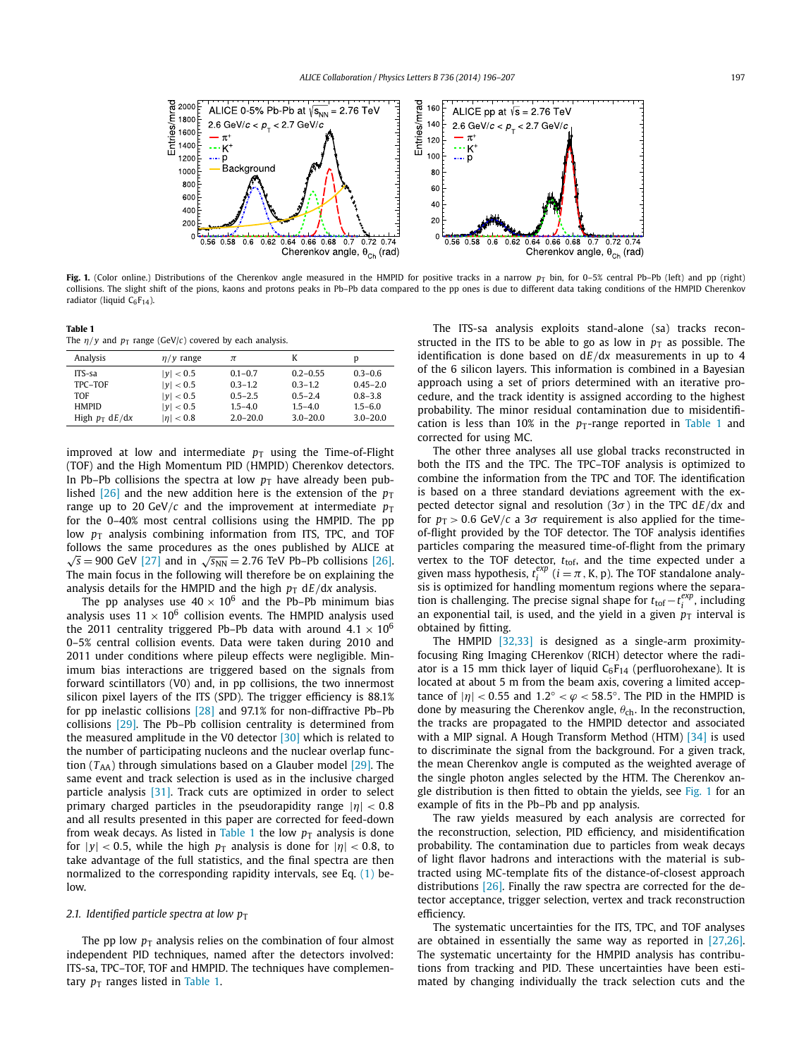<span id="page-1-0"></span>

Fig. 1. (Color online.) Distributions of the Cherenkov angle measured in the HMPID for positive tracks in a narrow  $p<sub>T</sub>$  bin, for 0–5% central Pb–Pb (left) and pp (right) collisions. The slight shift of the pions, kaons and protons peaks in Pb–Pb data compared to the pp ones is due to different data taking conditions of the HMPID Cherenkov radiator (liquid  $C_6F_{14}$ ).

**Table 1** The  $\eta$ /*y* and  $p_T$  range (GeV/*c*) covered by each analysis.

| Analysis         | $\eta/\gamma$ range | π            |              | p            |
|------------------|---------------------|--------------|--------------|--------------|
| ITS-sa           | $ v $ < 0.5         | $0.1 - 0.7$  | $0.2 - 0.55$ | $0.3 - 0.6$  |
| TPC-TOF          | $ v $ < 0.5         | $0.3 - 1.2$  | $0.3 - 1.2$  | $0.45 - 2.0$ |
| TOF              | $ v $ < 0.5         | $0.5 - 2.5$  | $0.5 - 2.4$  | $0.8 - 3.8$  |
| <b>HMPID</b>     | $ v $ < 0.5         | $1.5 - 4.0$  | $1.5 - 4.0$  | $1.5 - 6.0$  |
| High $p_T dE/dx$ | $ \eta  < 0.8$      | $2.0 - 20.0$ | $3.0 - 20.0$ | $3.0 - 20.0$ |

improved at low and intermediate  $p<sub>T</sub>$  using the Time-of-Flight (TOF) and the High Momentum PID (HMPID) Cherenkov detectors. In Pb–Pb collisions the spectra at low  $p<sub>T</sub>$  have already been published  $\sqrt{26}$  and the new addition here is the extension of the  $p_T$ range up to 20 GeV/ $c$  and the improvement at intermediate  $p<sub>T</sub>$ for the 0–40% most central collisions using the HMPID. The pp low  $p_T$  analysis combining information from ITS, TPC, and TOF follows the same procedures as the ones published by ALICE at  $\sqrt{s}$  = 900 GeV [\[27\]](#page-6-0) and in  $\sqrt{s_{NN}}$  = 2.76 TeV Pb–Pb collisions [\[26\].](#page-6-0) The main focus in the following will therefore be on explaining the analysis details for the HMPID and the high  $p_T$  d $E/dx$  analysis.

The pp analyses use  $40 \times 10^6$  and the Pb–Pb minimum bias analysis uses  $11 \times 10^6$  collision events. The HMPID analysis used the 2011 centrality triggered Pb–Pb data with around  $4.1 \times 10^6$ 0–5% central collision events. Data were taken during 2010 and 2011 under conditions where pileup effects were negligible. Minimum bias interactions are triggered based on the signals from forward scintillators (V0) and, in pp collisions, the two innermost silicon pixel layers of the ITS (SPD). The trigger efficiency is 88.1% for pp inelastic collisions [\[28\]](#page-6-0) and 97.1% for non-diffractive Pb–Pb collisions [\[29\].](#page-6-0) The Pb–Pb collision centrality is determined from the measured amplitude in the V0 detector [\[30\]](#page-6-0) which is related to the number of participating nucleons and the nuclear overlap function  $(T_{AA})$  through simulations based on a Glauber model  $[29]$ . The same event and track selection is used as in the inclusive charged particle analysis [\[31\].](#page-6-0) Track cuts are optimized in order to select primary charged particles in the pseudorapidity range |*η*| *<* <sup>0</sup>*.*<sup>8</sup> and all results presented in this paper are corrected for feed-down from weak decays. As listed in Table 1 the low  $p<sub>T</sub>$  analysis is done for  $|y| < 0.5$ , while the high  $p<sub>T</sub>$  analysis is done for  $|\eta| < 0.8$ , to take advantage of the full statistics, and the final spectra are then normalized to the corresponding rapidity intervals, see Eq. [\(1\)](#page-3-0) below.

#### *2.1. Identified particle spectra at low*  $p<sub>T</sub>$

The pp low  $p<sub>T</sub>$  analysis relies on the combination of four almost independent PID techniques, named after the detectors involved: ITS-sa, TPC–TOF, TOF and HMPID. The techniques have complementary  $p_T$  ranges listed in Table 1.

The ITS-sa analysis exploits stand-alone (sa) tracks reconstructed in the ITS to be able to go as low in  $p<sub>T</sub>$  as possible. The identification is done based on d*E/*d*x* measurements in up to 4 of the 6 silicon layers. This information is combined in a Bayesian approach using a set of priors determined with an iterative procedure, and the track identity is assigned according to the highest probability. The minor residual contamination due to misidentification is less than 10% in the  $p_T$ -range reported in Table 1 and corrected for using MC.

The other three analyses all use global tracks reconstructed in both the ITS and the TPC. The TPC–TOF analysis is optimized to combine the information from the TPC and TOF. The identification is based on a three standard deviations agreement with the expected detector signal and resolution (3*σ* ) in the TPC d*E/*d*x* and for  $p_T > 0.6$  GeV/*c* a  $3\sigma$  requirement is also applied for the timeof-flight provided by the TOF detector. The TOF analysis identifies particles comparing the measured time-of-flight from the primary vertex to the TOF detector,  $t_{\text{tof}}$ , and the time expected under a given mass hypothesis,  $t_i^{exp}$  ( $i = \pi$ , K, p). The TOF standalone analysis is optimized for handling momentum regions where the separation is challenging. The precise signal shape for  $t_{\text{tof}} - t_i^{\text{exp}}$ , including an exponential tail, is used, and the yield in a given  $p<sub>T</sub>$  interval is obtained by fitting.

The HMPID [\[32,33\]](#page-6-0) is designed as a single-arm proximityfocusing Ring Imaging CHerenkov (RICH) detector where the radiator is a 15 mm thick layer of liquid  $C_6F_{14}$  (perfluorohexane). It is located at about 5 m from the beam axis, covering a limited acceptance of  $|\eta| < 0.55$  and  $1.2^\circ < \varphi < 58.5^\circ$ . The PID in the HMPID is done by measuring the Cherenkov angle,  $θ<sub>ch</sub>$ . In the reconstruction, the tracks are propagated to the HMPID detector and associated with a MIP signal. A Hough Transform Method (HTM) [\[34\]](#page-6-0) is used to discriminate the signal from the background. For a given track, the mean Cherenkov angle is computed as the weighted average of the single photon angles selected by the HTM. The Cherenkov angle distribution is then fitted to obtain the yields, see Fig. 1 for an example of fits in the Pb–Pb and pp analysis.

The raw yields measured by each analysis are corrected for the reconstruction, selection, PID efficiency, and misidentification probability. The contamination due to particles from weak decays of light flavor hadrons and interactions with the material is subtracted using MC-template fits of the distance-of-closest approach distributions  $[26]$ . Finally the raw spectra are corrected for the detector acceptance, trigger selection, vertex and track reconstruction efficiency.

The systematic uncertainties for the ITS, TPC, and TOF analyses are obtained in essentially the same way as reported in  $[27,26]$ . The systematic uncertainty for the HMPID analysis has contributions from tracking and PID. These uncertainties have been estimated by changing individually the track selection cuts and the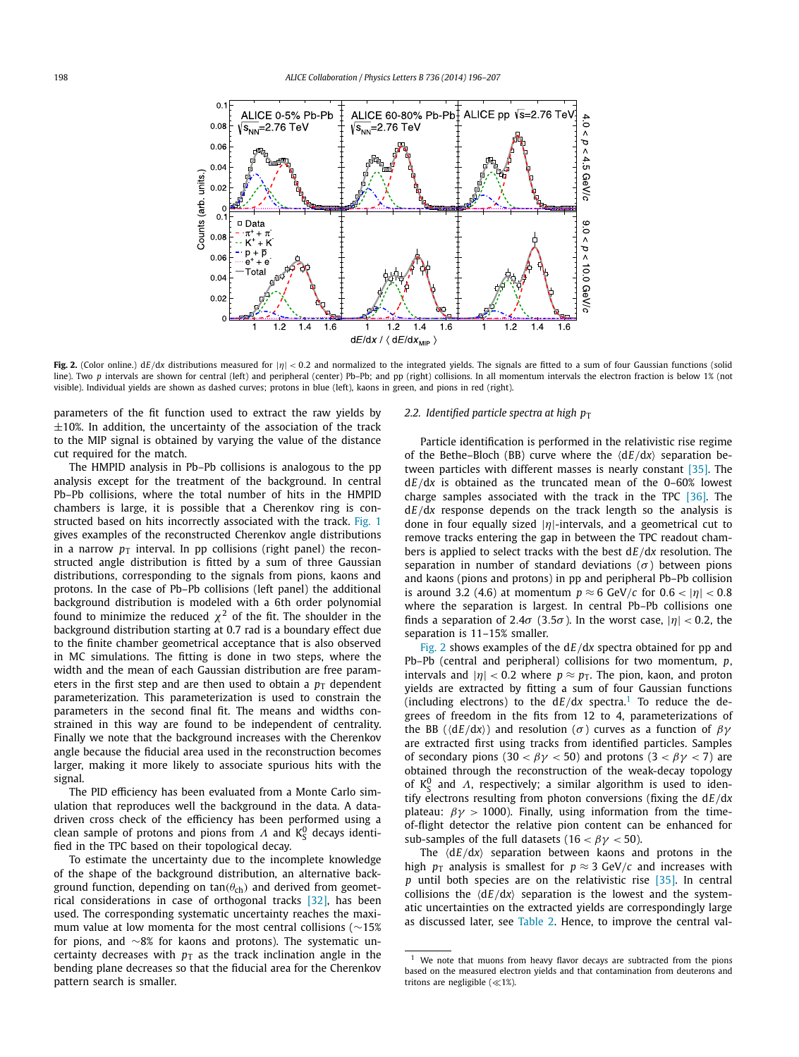<span id="page-2-0"></span>

**Fig. 2.** (Color online.) <sup>d</sup>*E/*d*<sup>x</sup>* distributions measured for |*η*| *<* <sup>0</sup>*.*2 and normalized to the integrated yields. The signals are fitted to <sup>a</sup> sum of four Gaussian functions (solid line). Two *p* intervals are shown for central (left) and peripheral (center) Pb-Pb; and pp (right) collisions. In all momentum intervals the electron fraction is below 1% (not visible). Individual yields are shown as dashed curves; protons in blue (left), kaons in green, and pions in red (right).

parameters of the fit function used to extract the raw yields by  $\pm$ 10%. In addition, the uncertainty of the association of the track to the MIP signal is obtained by varying the value of the distance cut required for the match.

The HMPID analysis in Pb–Pb collisions is analogous to the pp analysis except for the treatment of the background. In central Pb–Pb collisions, where the total number of hits in the HMPID chambers is large, it is possible that a Cherenkov ring is constructed based on hits incorrectly associated with the track. [Fig. 1](#page-1-0) gives examples of the reconstructed Cherenkov angle distributions in a narrow  $p<sub>T</sub>$  interval. In pp collisions (right panel) the reconstructed angle distribution is fitted by a sum of three Gaussian distributions, corresponding to the signals from pions, kaons and protons. In the case of Pb–Pb collisions (left panel) the additional background distribution is modeled with a 6th order polynomial found to minimize the reduced  $\chi^2$  of the fit. The shoulder in the background distribution starting at 0.7 rad is a boundary effect due to the finite chamber geometrical acceptance that is also observed in MC simulations. The fitting is done in two steps, where the width and the mean of each Gaussian distribution are free parameters in the first step and are then used to obtain a  $p<sub>T</sub>$  dependent parameterization. This parameterization is used to constrain the parameters in the second final fit. The means and widths constrained in this way are found to be independent of centrality. Finally we note that the background increases with the Cherenkov angle because the fiducial area used in the reconstruction becomes larger, making it more likely to associate spurious hits with the signal.

The PID efficiency has been evaluated from a Monte Carlo simulation that reproduces well the background in the data. A datadriven cross check of the efficiency has been performed using a clean sample of protons and pions from  $\Lambda$  and  $K^0_S$  decays identified in the TPC based on their topological decay.

To estimate the uncertainty due to the incomplete knowledge of the shape of the background distribution, an alternative background function, depending on  $tan(\theta_{ch})$  and derived from geometrical considerations in case of orthogonal tracks [\[32\],](#page-6-0) has been used. The corresponding systematic uncertainty reaches the maximum value at low momenta for the most central collisions (∼15% for pions, and ∼8% for kaons and protons). The systematic uncertainty decreases with  $p<sub>T</sub>$  as the track inclination angle in the bending plane decreases so that the fiducial area for the Cherenkov pattern search is smaller.

#### *2.2. Identified particle spectra at high*  $p<sub>T</sub>$

Particle identification is performed in the relativistic rise regime of the Bethe–Bloch (BB) curve where the  $\langle dE/dx \rangle$  separation between particles with different masses is nearly constant [\[35\].](#page-6-0) The d*E/*d*x* is obtained as the truncated mean of the 0–60% lowest charge samples associated with the track in the TPC [\[36\].](#page-6-0) The d*E/*d*x* response depends on the track length so the analysis is done in four equally sized |*η*|-intervals, and <sup>a</sup> geometrical cut to remove tracks entering the gap in between the TPC readout chambers is applied to select tracks with the best d*E/*d*x* resolution. The separation in number of standard deviations  $(\sigma)$  between pions and kaons (pions and protons) in pp and peripheral Pb–Pb collision is around 3.2 (4.6) at momentum  $p \approx 6$  GeV/*c* for  $0.6 < |η| < 0.8$ where the separation is largest. In central Pb–Pb collisions one finds a separation of 2.4 $\sigma$  (3.5 $\sigma$ ). In the worst case,  $|\eta|$  < 0.2, the separation is 11–15% smaller.

Fig. 2 shows examples of the d*E/*d*x* spectra obtained for pp and Pb–Pb (central and peripheral) collisions for two momentum, *p*, intervals and  $|\eta|$  < 0.2 where  $p \approx p_{\text{T}}$ . The pion, kaon, and proton yields are extracted by fitting a sum of four Gaussian functions (including electrons) to the  $dE/dx$  spectra.<sup>1</sup> To reduce the degrees of freedom in the fits from 12 to 4, parameterizations of the BB ( $\langle dE/dx \rangle$ ) and resolution (*σ*) curves as a function of  $\beta \gamma$ are extracted first using tracks from identified particles. Samples of secondary pions (30  $< \beta \gamma < 50$ ) and protons (3  $< \beta \gamma < 7$ ) are obtained through the reconstruction of the weak-decay topology of  $K_S^0$  and  $\Lambda$ , respectively; a similar algorithm is used to identify electrons resulting from photon conversions (fixing the d*E/*d*x* plateau:  $\beta \gamma > 1000$ ). Finally, using information from the timeof-flight detector the relative pion content can be enhanced for sub-samples of the full datasets (16 *< βγ <* 50).

The  $\langle dE/dx \rangle$  separation between kaons and protons in the high  $p<sub>T</sub>$  analysis is smallest for  $p \approx 3$  GeV/*c* and increases with *p* until both species are on the relativistic rise [\[35\].](#page-6-0) In central collisions the  $\langle dE/dx \rangle$  separation is the lowest and the systematic uncertainties on the extracted yields are correspondingly large as discussed later, see [Table 2.](#page-3-0) Hence, to improve the central val-

 $1$  We note that muons from heavy flavor decays are subtracted from the pions based on the measured electron yields and that contamination from deuterons and tritons are negligible  $(\ll 1\%)$ .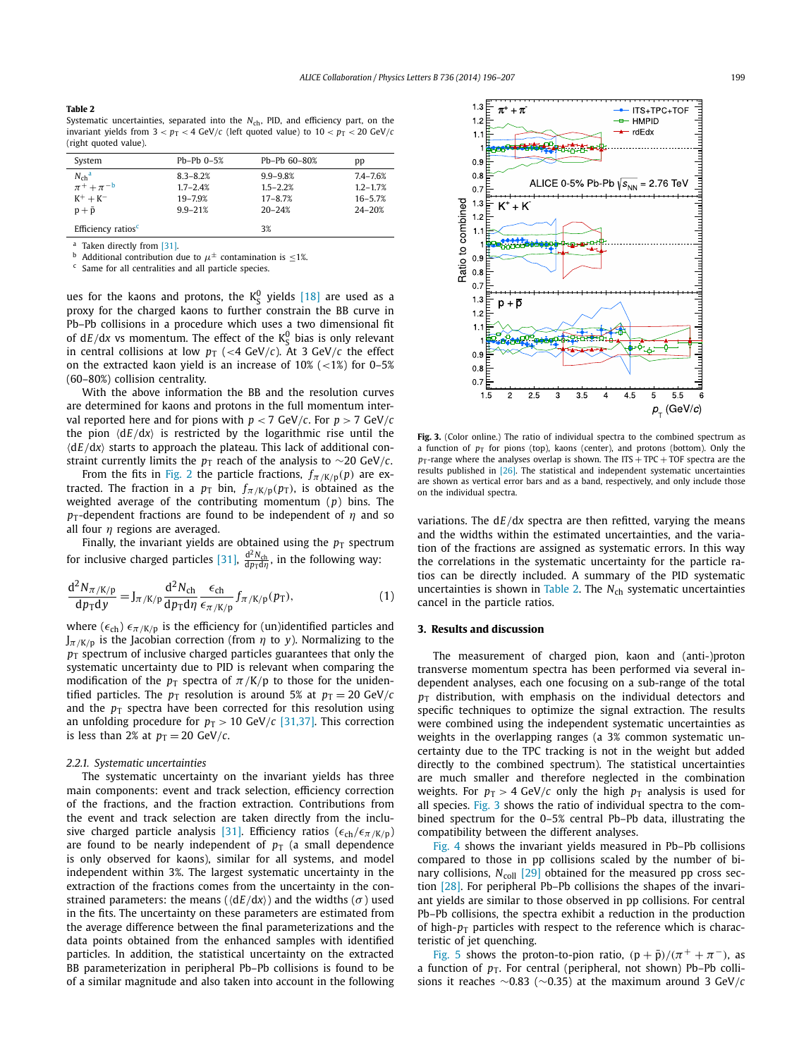<span id="page-3-0"></span>

Systematic uncertainties, separated into the *N*<sub>ch</sub>, PID, and efficiency part, on the invariant yields from  $3 < p<sub>T</sub> < 4$  GeV/*c* (left quoted value) to  $10 < p<sub>T</sub> < 20$  GeV/*c* (right quoted value).

| System                         | $Ph-Ph$ $0-5%$ | $Ph-Ph$ 60-80% | pp           |
|--------------------------------|----------------|----------------|--------------|
| $N_{ch}^{\text{a}}$            | $8.3 - 8.2%$   | $9.9 - 9.8%$   | $7.4 - 7.6%$ |
| $\pi^{+} + \pi^{-b}$           | $1.7 - 2.4%$   | $1.5 - 2.2%$   | $1.2 - 1.7%$ |
| $K^+ + K^-$                    | 19-7.9%        | $17 - 8.7%$    | $16 - 5.7%$  |
| $p + \bar{p}$                  | $9.9 - 21%$    | $20 - 24%$     | $24 - 20%$   |
| Efficiency ratios <sup>c</sup> |                | 3%             |              |

<sup>a</sup> Taken directly from [\[31\].](#page-6-0)<br><sup>b</sup> Additional contribution due to  $\mu^{\pm}$  contamination is <1%

**EXAMPLE CONTRIBUTION DUE TO** *μ***<sup>2</sup>** contamination is ≤1%. Contamination is ≤1%. Contamination is ≤1%. Contained to Same for all centralities and all particle species.

ues for the kaons and protons, the  $K_S^0$  yields  $[18]$  are used as a proxy for the charged kaons to further constrain the BB curve in Pb–Pb collisions in a procedure which uses a two dimensional fit of  $dE/dx$  vs momentum. The effect of the  $K_S^0$  bias is only relevant in central collisions at low  $p_T$  (<4 GeV/*c*). At 3 GeV/*c* the effect on the extracted kaon yield is an increase of 10% (*<*1%) for 0–5% (60–80%) collision centrality.

With the above information the BB and the resolution curves are determined for kaons and protons in the full momentum interval reported here and for pions with  $p < 7$  GeV/*c*. For  $p > 7$  GeV/*c* the pion  $\langle dE/dx \rangle$  is restricted by the logarithmic rise until the  $\langle dE/dx \rangle$  starts to approach the plateau. This lack of additional constraint currently limits the  $p_T$  reach of the analysis to ~20 GeV/*c*.

From the fits in [Fig. 2](#page-2-0) the particle fractions,  $f_{\pi/K/p}(p)$  are extracted. The fraction in a  $p_T$  bin,  $f_{\pi/K/p}(p_T)$ , is obtained as the weighted average of the contributing momentum (*p*) bins. The *p*T-dependent fractions are found to be independent of *η* and so all four *η* regions are averaged.

Finally, the invariant yields are obtained using the  $p<sub>T</sub>$  spectrum for inclusive charged particles [\[31\],](#page-6-0)  $\frac{d^2N_{ch}}{dp_Tdp}$ , in the following way:

$$
\frac{\mathrm{d}^2 N_{\pi/K/p}}{\mathrm{d}p_{\text{T}}\mathrm{d}y} = J_{\pi/K/p} \frac{\mathrm{d}^2 N_{\text{ch}}}{\mathrm{d}p_{\text{T}}\mathrm{d}\eta} \frac{\epsilon_{\text{ch}}}{\epsilon_{\pi/K/p}} f_{\pi/K/p}(p_{\text{T}}),\tag{1}
$$

where  $(\epsilon_{ch}) \epsilon_{\pi/K/p}$  is the efficiency for (un)identified particles and  $J_{\pi/K/p}$  is the Jacobian correction (from  $\eta$  to *y*). Normalizing to the  $p_T$  spectrum of inclusive charged particles guarantees that only the systematic uncertainty due to PID is relevant when comparing the modification of the  $p_T$  spectra of  $\pi$ /K/p to those for the unidentified particles. The  $p<sub>T</sub>$  resolution is around 5% at  $p<sub>T</sub> = 20$  GeV/*c* and the  $p_T$  spectra have been corrected for this resolution using an unfolding procedure for  $p_T > 10$  GeV/*c* [\[31,37\].](#page-6-0) This correction is less than 2% at  $p_T = 20$  GeV/*c*.

#### *2.2.1. Systematic uncertainties*

The systematic uncertainty on the invariant yields has three main components: event and track selection, efficiency correction of the fractions, and the fraction extraction. Contributions from the event and track selection are taken directly from the inclu-sive charged particle analysis [\[31\].](#page-6-0) Efficiency ratios ( $\epsilon_{ch}/\epsilon_{\pi/K/p}$ ) are found to be nearly independent of  $p_T$  (a small dependence is only observed for kaons), similar for all systems, and model independent within 3%. The largest systematic uncertainty in the extraction of the fractions comes from the uncertainty in the constrained parameters: the means ( $\langle dE/dx \rangle$ ) and the widths ( $\sigma$ ) used in the fits. The uncertainty on these parameters are estimated from the average difference between the final parameterizations and the data points obtained from the enhanced samples with identified particles. In addition, the statistical uncertainty on the extracted BB parameterization in peripheral Pb–Pb collisions is found to be of a similar magnitude and also taken into account in the following



**Fig. 3.** (Color online.) The ratio of individual spectra to the combined spectrum as a function of  $p_T$  for pions (top), kaons (center), and protons (bottom). Only the  $p_T$ -range where the analyses overlap is shown. The ITS + TPC + TOF spectra are the results published in [\[26\].](#page-6-0) The statistical and independent systematic uncertainties are shown as vertical error bars and as a band, respectively, and only include those on the individual spectra.

variations. The d*E/*d*x* spectra are then refitted, varying the means and the widths within the estimated uncertainties, and the variation of the fractions are assigned as systematic errors. In this way the correlations in the systematic uncertainty for the particle ratios can be directly included. A summary of the PID systematic uncertainties is shown in Table 2. The *N*<sub>ch</sub> systematic uncertainties cancel in the particle ratios.

#### **3. Results and discussion**

The measurement of charged pion, kaon and (anti-)proton transverse momentum spectra has been performed via several independent analyses, each one focusing on a sub-range of the total  $p<sub>T</sub>$  distribution, with emphasis on the individual detectors and specific techniques to optimize the signal extraction. The results were combined using the independent systematic uncertainties as weights in the overlapping ranges (a 3% common systematic uncertainty due to the TPC tracking is not in the weight but added directly to the combined spectrum). The statistical uncertainties are much smaller and therefore neglected in the combination weights. For  $p_T > 4$  GeV/*c* only the high  $p_T$  analysis is used for all species. Fig. 3 shows the ratio of individual spectra to the combined spectrum for the 0–5% central Pb–Pb data, illustrating the compatibility between the different analyses.

[Fig. 4](#page-4-0) shows the invariant yields measured in Pb–Pb collisions compared to those in pp collisions scaled by the number of binary collisions, *N*<sub>coll</sub> [\[29\]](#page-6-0) obtained for the measured pp cross section [\[28\].](#page-6-0) For peripheral Pb–Pb collisions the shapes of the invariant yields are similar to those observed in pp collisions. For central Pb–Pb collisions, the spectra exhibit a reduction in the production of high- $p_T$  particles with respect to the reference which is characteristic of jet quenching.

[Fig. 5](#page-4-0) shows the proton-to-pion ratio,  $(p + \bar{p})/(\pi^+ + \pi^-)$ , as a function of  $p<sub>T</sub>$ . For central (peripheral, not shown) Pb–Pb collisions it reaches ∼0.83 (∼0.35) at the maximum around 3 GeV*/c*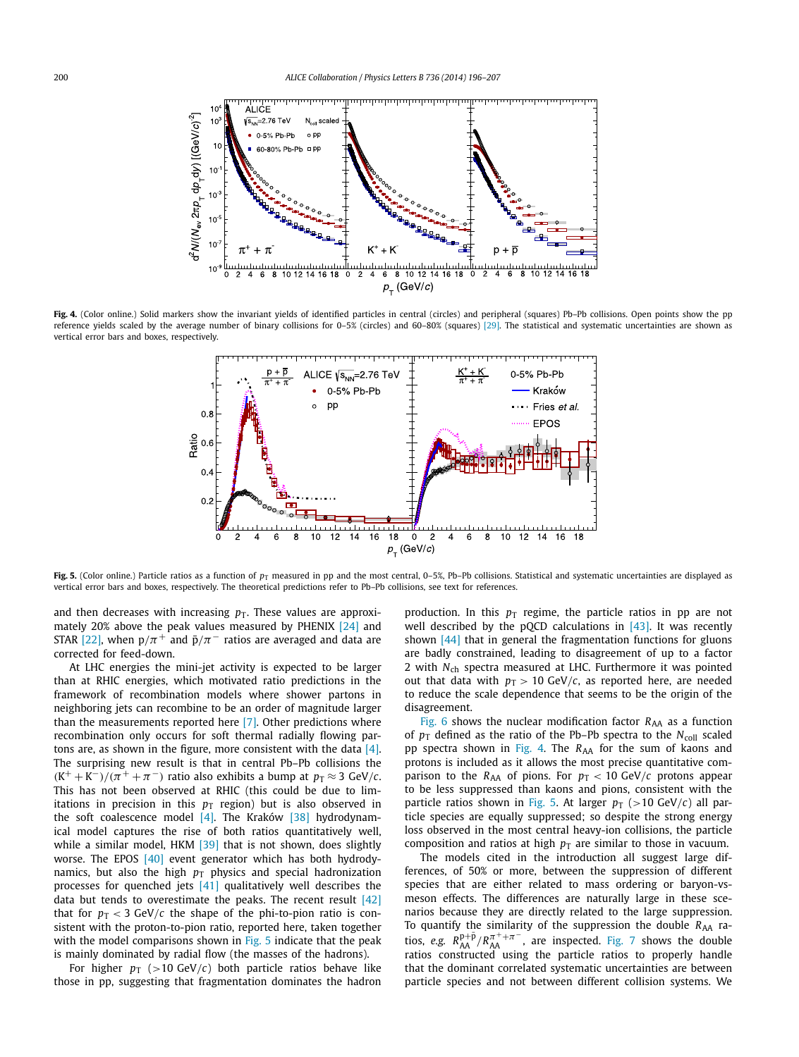<span id="page-4-0"></span>

**Fig. 4.** (Color online.) Solid markers show the invariant yields of identified particles in central (circles) and peripheral (squares) Pb–Pb collisions. Open points show the pp reference yields scaled by the average number of binary collisions for 0–5% (circles) and 60–80% (squares) [\[29\].](#page-6-0) The statistical and systematic uncertainties are shown as vertical error bars and boxes, respectively.



Fig. 5. (Color online.) Particle ratios as a function of  $p_T$  measured in pp and the most central, 0–5%, Pb–Pb collisions. Statistical and systematic uncertainties are displayed as vertical error bars and boxes, respectively. The theoretical predictions refer to Pb–Pb collisions, see text for references.

and then decreases with increasing  $p<sub>T</sub>$ . These values are approximately 20% above the peak values measured by PHENIX [\[24\]](#page-6-0) and STAR [\[22\],](#page-6-0) when  $p/\pi$ <sup>+</sup> and  $\bar{p}/\pi$ <sup>-</sup> ratios are averaged and data are corrected for feed-down.

At LHC energies the mini-jet activity is expected to be larger than at RHIC energies, which motivated ratio predictions in the framework of recombination models where shower partons in neighboring jets can recombine to be an order of magnitude larger than the measurements reported here [\[7\].](#page-6-0) Other predictions where recombination only occurs for soft thermal radially flowing partons are, as shown in the figure, more consistent with the data [\[4\].](#page-6-0) The surprising new result is that in central Pb–Pb collisions the  $(K^+ + K^-)/(n^+ + \pi^-)$  ratio also exhibits a bump at  $p_T \approx 3$  GeV/*c*. This has not been observed at RHIC (this could be due to limitations in precision in this  $p_T$  region) but is also observed in the soft coalescence model [\[4\].](#page-6-0) The Kraków [\[38\]](#page-6-0) hydrodynamical model captures the rise of both ratios quantitatively well, while a similar model, HKM [\[39\]](#page-6-0) that is not shown, does slightly worse. The EPOS [\[40\]](#page-6-0) event generator which has both hydrodynamics, but also the high  $p<sub>T</sub>$  physics and special hadronization processes for quenched jets [\[41\]](#page-6-0) qualitatively well describes the data but tends to overestimate the peaks. The recent result  $[42]$ that for  $p_T < 3$  GeV/*c* the shape of the phi-to-pion ratio is consistent with the proton-to-pion ratio, reported here, taken together with the model comparisons shown in Fig. 5 indicate that the peak is mainly dominated by radial flow (the masses of the hadrons).

For higher  $p_T$  ( $>10$  GeV/c) both particle ratios behave like those in pp, suggesting that fragmentation dominates the hadron production. In this  $p_T$  regime, the particle ratios in pp are not well described by the pQCD calculations in  $[43]$ . It was recently shown [\[44\]](#page-6-0) that in general the fragmentation functions for gluons are badly constrained, leading to disagreement of up to a factor 2 with *N*ch spectra measured at LHC. Furthermore it was pointed out that data with  $p_T > 10$  GeV/*c*, as reported here, are needed to reduce the scale dependence that seems to be the origin of the disagreement.

[Fig. 6](#page-5-0) shows the nuclear modification factor R<sub>AA</sub> as a function of  $p_T$  defined as the ratio of the Pb–Pb spectra to the  $N_{\text{coll}}$  scaled pp spectra shown in Fig. 4. The R<sub>AA</sub> for the sum of kaons and protons is included as it allows the most precise quantitative comparison to the  $R_{AA}$  of pions. For  $p_T < 10$  GeV/*c* protons appear to be less suppressed than kaons and pions, consistent with the particle ratios shown in Fig. 5. At larger  $p_T$  ( $>$ 10 GeV/*c*) all particle species are equally suppressed; so despite the strong energy loss observed in the most central heavy-ion collisions, the particle composition and ratios at high  $p<sub>T</sub>$  are similar to those in vacuum.

The models cited in the introduction all suggest large differences, of 50% or more, between the suppression of different species that are either related to mass ordering or baryon-vsmeson effects. The differences are naturally large in these scenarios because they are directly related to the large suppression. To quantify the similarity of the suppression the double  $R_{AA}$  ratios, *e.g.*  $R_{AA}^{p+\bar{p}}/R_{AA}^{\pi^++\pi^-}$ , are inspected. [Fig. 7](#page-5-0) shows the double ratios constructed using the particle ratios to properly handle that the dominant correlated systematic uncertainties are between particle species and not between different collision systems. We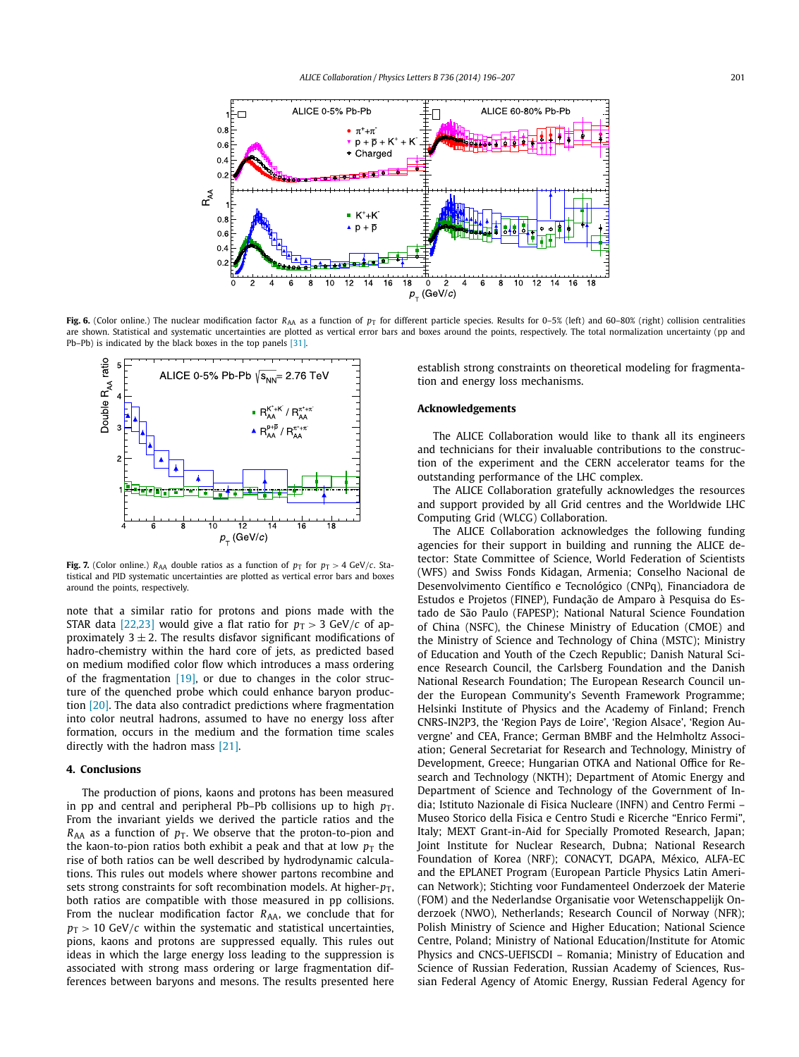<span id="page-5-0"></span>

**Fig. 6.** (Color online.) The nuclear modification factor  $R_{AA}$  as a function of  $p<sub>T</sub>$  for different particle species. Results for 0–5% (left) and 60–80% (right) collision centralities are shown. Statistical and systematic uncertainties are plotted as vertical error bars and boxes around the points, respectively. The total normalization uncertainty (pp and Pb–Pb) is indicated by the black boxes in the top panels [\[31\].](#page-6-0)



**Fig. 7.** (Color online.) *R*<sub>AA</sub> double ratios as a function of  $p<sub>T</sub>$  for  $p<sub>T</sub> > 4$  GeV/*c*. Statistical and PID systematic uncertainties are plotted as vertical error bars and boxes around the points, respectively.

note that a similar ratio for protons and pions made with the STAR data [\[22,23\]](#page-6-0) would give a flat ratio for  $p_T > 3$  GeV/*c* of approximately  $3 \pm 2$ . The results disfavor significant modifications of hadro-chemistry within the hard core of jets, as predicted based on medium modified color flow which introduces a mass ordering of the fragmentation  $[19]$ , or due to changes in the color structure of the quenched probe which could enhance baryon production [\[20\].](#page-6-0) The data also contradict predictions where fragmentation into color neutral hadrons, assumed to have no energy loss after formation, occurs in the medium and the formation time scales directly with the hadron mass [\[21\].](#page-6-0)

#### **4. Conclusions**

The production of pions, kaons and protons has been measured in pp and central and peripheral Pb–Pb collisions up to high  $p<sub>T</sub>$ . From the invariant yields we derived the particle ratios and the  $R_{AA}$  as a function of  $p_T$ . We observe that the proton-to-pion and the kaon-to-pion ratios both exhibit a peak and that at low  $p_T$  the rise of both ratios can be well described by hydrodynamic calculations. This rules out models where shower partons recombine and sets strong constraints for soft recombination models. At higher- $p<sub>T</sub>$ , both ratios are compatible with those measured in pp collisions. From the nuclear modification factor R<sub>AA</sub>, we conclude that for  $p_T$  > 10 GeV/*c* within the systematic and statistical uncertainties, pions, kaons and protons are suppressed equally. This rules out ideas in which the large energy loss leading to the suppression is associated with strong mass ordering or large fragmentation differences between baryons and mesons. The results presented here establish strong constraints on theoretical modeling for fragmentation and energy loss mechanisms.

#### **Acknowledgements**

The ALICE Collaboration would like to thank all its engineers and technicians for their invaluable contributions to the construction of the experiment and the CERN accelerator teams for the outstanding performance of the LHC complex.

The ALICE Collaboration gratefully acknowledges the resources and support provided by all Grid centres and the Worldwide LHC Computing Grid (WLCG) Collaboration.

The ALICE Collaboration acknowledges the following funding agencies for their support in building and running the ALICE detector: State Committee of Science, World Federation of Scientists (WFS) and Swiss Fonds Kidagan, Armenia; Conselho Nacional de Desenvolvimento Científico e Tecnológico (CNPq), Financiadora de Estudos e Projetos (FINEP), Fundação de Amparo à Pesquisa do Estado de São Paulo (FAPESP); National Natural Science Foundation of China (NSFC), the Chinese Ministry of Education (CMOE) and the Ministry of Science and Technology of China (MSTC); Ministry of Education and Youth of the Czech Republic; Danish Natural Science Research Council, the Carlsberg Foundation and the Danish National Research Foundation; The European Research Council under the European Community's Seventh Framework Programme; Helsinki Institute of Physics and the Academy of Finland; French CNRS-IN2P3, the 'Region Pays de Loire', 'Region Alsace', 'Region Auvergne' and CEA, France; German BMBF and the Helmholtz Association; General Secretariat for Research and Technology, Ministry of Development, Greece; Hungarian OTKA and National Office for Research and Technology (NKTH); Department of Atomic Energy and Department of Science and Technology of the Government of India; Istituto Nazionale di Fisica Nucleare (INFN) and Centro Fermi – Museo Storico della Fisica e Centro Studi e Ricerche "Enrico Fermi", Italy; MEXT Grant-in-Aid for Specially Promoted Research, Japan; Joint Institute for Nuclear Research, Dubna; National Research Foundation of Korea (NRF); CONACYT, DGAPA, México, ALFA-EC and the EPLANET Program (European Particle Physics Latin American Network); Stichting voor Fundamenteel Onderzoek der Materie (FOM) and the Nederlandse Organisatie voor Wetenschappelijk Onderzoek (NWO), Netherlands; Research Council of Norway (NFR); Polish Ministry of Science and Higher Education; National Science Centre, Poland; Ministry of National Education/Institute for Atomic Physics and CNCS-UEFISCDI – Romania; Ministry of Education and Science of Russian Federation, Russian Academy of Sciences, Russian Federal Agency of Atomic Energy, Russian Federal Agency for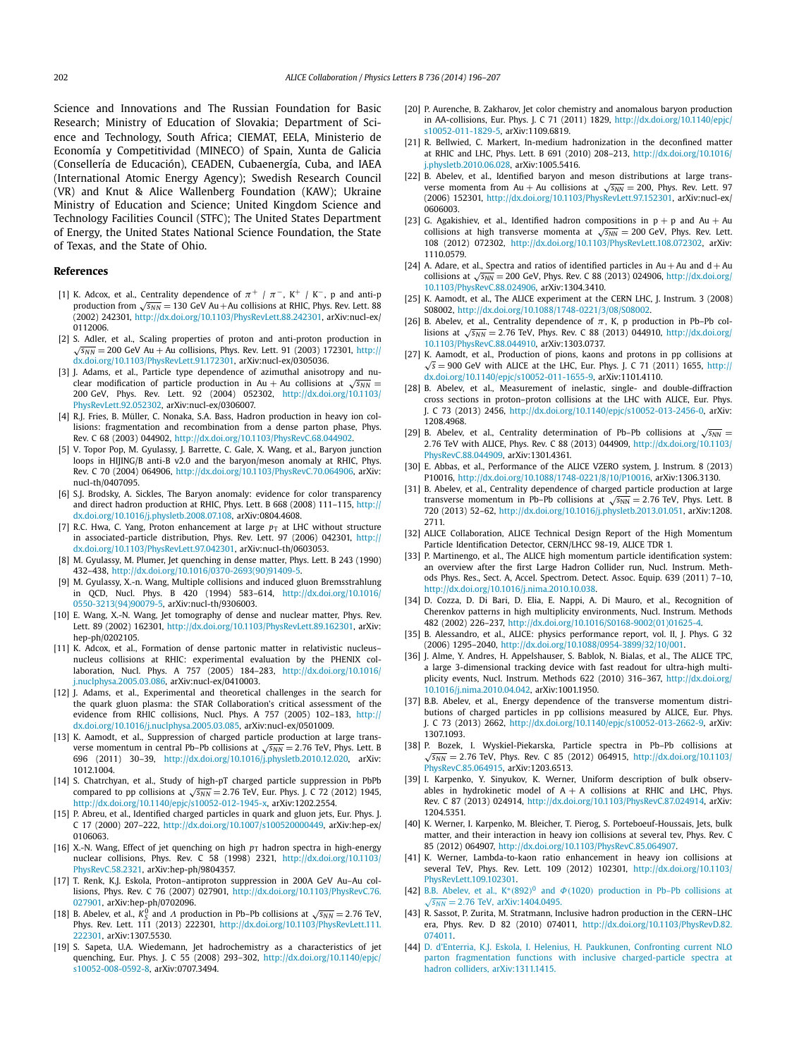<span id="page-6-0"></span>Science and Innovations and The Russian Foundation for Basic Research; Ministry of Education of Slovakia; Department of Science and Technology, South Africa; CIEMAT, EELA, Ministerio de Economía y Competitividad (MINECO) of Spain, Xunta de Galicia (Consellería de Educación), CEADEN, Cubaenergía, Cuba, and IAEA (International Atomic Energy Agency); Swedish Research Council (VR) and Knut & Alice Wallenberg Foundation (KAW); Ukraine Ministry of Education and Science; United Kingdom Science and Technology Facilities Council (STFC); The United States Department of Energy, the United States National Science Foundation, the State of Texas, and the State of Ohio.

#### **References**

- [1] K. Adcox, et al., Centrality dependence of  $\pi^+$  /  $\pi^-$ , K<sup>+</sup> / K<sup>−</sup>, p and anti-p production from  $\sqrt{s_{NN}}$  = 130 GeV Au + Au collisions at RHIC, Phys. Rev. Lett. 88 (2002) 242301, <http://dx.doi.org/10.1103/PhysRevLett.88.242301>, arXiv:nucl-ex/ 0112006.
- [2] S. Adler, et al., Scaling properties of proton and anti-proton production in  $\sqrt{s_{NN}}$  = 200 GeV Au + Au collisions, Phys. Rev. Lett. 91 (2003) 172301, [http://](http://dx.doi.org/10.1103/PhysRevLett.91.172301) [dx.doi.org/10.1103/PhysRevLett.91.172301,](http://dx.doi.org/10.1103/PhysRevLett.91.172301) arXiv:nucl-ex/0305036.
- [3] J. Adams, et al., Particle type dependence of azimuthal anisotropy and nuclear modification of particle production in Au + Au collisions at  $\sqrt{s_{NN}}$  = 200 GeV, Phys. Rev. Lett. 92 (2004) 052302, [http://dx.doi.org/10.1103/](http://dx.doi.org/10.1103/PhysRevLett.92.052302) [PhysRevLett.92.052302](http://dx.doi.org/10.1103/PhysRevLett.92.052302), arXiv:nucl-ex/0306007.
- [4] R.J. Fries, B. Müller, C. Nonaka, S.A. Bass, Hadron production in heavy ion collisions: fragmentation and recombination from a dense parton phase, Phys. Rev. C 68 (2003) 044902, <http://dx.doi.org/10.1103/PhysRevC.68.044902>.
- [5] V. Topor Pop, M. Gyulassy, J. Barrette, C. Gale, X. Wang, et al., Baryon junction loops in HIJING/B anti-B v2.0 and the baryon/meson anomaly at RHIC, Phys. Rev. C 70 (2004) 064906, <http://dx.doi.org/10.1103/PhysRevC.70.064906>, arXiv: nucl-th/0407095.
- [6] S.J. Brodsky, A. Sickles, The Baryon anomaly: evidence for color transparency and direct hadron production at RHIC, Phys. Lett. B 668 (2008) 111–115, [http://](http://dx.doi.org/10.1016/j.physletb.2008.07.108) [dx.doi.org/10.1016/j.physletb.2008.07.108](http://dx.doi.org/10.1016/j.physletb.2008.07.108), arXiv:0804.4608.
- [7] R.C. Hwa, C. Yang, Proton enhancement at large  $p<sub>T</sub>$  at LHC without structure in associated-particle distribution, Phys. Rev. Lett. 97 (2006) 042301, [http://](http://dx.doi.org/10.1103/PhysRevLett.97.042301) [dx.doi.org/10.1103/PhysRevLett.97.042301](http://dx.doi.org/10.1103/PhysRevLett.97.042301), arXiv:nucl-th/0603053.
- [8] M. Gyulassy, M. Plumer, Jet quenching in dense matter, Phys. Lett. B 243 (1990) 432–438, [http://dx.doi.org/10.1016/0370-2693\(90\)91409-5.](http://dx.doi.org/10.1016/0370-2693(90)91409-5)
- [9] M. Gyulassy, X.-n. Wang, Multiple collisions and induced gluon Bremsstrahlung in QCD, Nucl. Phys. B 420 (1994) 583–614, [http://dx.doi.org/10.1016/](http://dx.doi.org/10.1016/0550-3213(94)90079-5) [0550-3213\(94\)90079-5](http://dx.doi.org/10.1016/0550-3213(94)90079-5), arXiv:nucl-th/9306003.
- [10] E. Wang, X.-N. Wang, Jet tomography of dense and nuclear matter, Phys. Rev. Lett. 89 (2002) 162301, <http://dx.doi.org/10.1103/PhysRevLett.89.162301>, arXiv: hep-ph/0202105.
- [11] K. Adcox, et al., Formation of dense partonic matter in relativistic nucleus– nucleus collisions at RHIC: experimental evaluation by the PHENIX collaboration, Nucl. Phys. A 757 (2005) 184–283, [http://dx.doi.org/10.1016/](http://dx.doi.org/10.1016/j.nuclphysa.2005.03.086) [j.nuclphysa.2005.03.086](http://dx.doi.org/10.1016/j.nuclphysa.2005.03.086), arXiv:nucl-ex/0410003.
- [12] J. Adams, et al., Experimental and theoretical challenges in the search for the quark gluon plasma: the STAR Collaboration's critical assessment of the evidence from RHIC collisions, Nucl. Phys. A 757 (2005) 102–183, [http://](http://dx.doi.org/10.1016/j.nuclphysa.2005.03.085) [dx.doi.org/10.1016/j.nuclphysa.2005.03.085,](http://dx.doi.org/10.1016/j.nuclphysa.2005.03.085) arXiv:nucl-ex/0501009.
- [13] K. Aamodt, et al., Suppression of charged particle production at large transverse momentum in central Pb–Pb collisions at  $\sqrt{s_{NN}}$  = 2.76 TeV, Phys. Lett. B 696 (2011) 30–39, <http://dx.doi.org/10.1016/j.physletb.2010.12.020>, arXiv: 1012.1004.
- [14] S. Chatrchyan, et al., Study of high-pT charged particle suppression in PbPb compared to pp collisions at  $\sqrt{s_{NN}}$  = 2.76 TeV, Eur. Phys. J. C 72 (2012) 1945, <http://dx.doi.org/10.1140/epjc/s10052-012-1945-x>, arXiv:1202.2554.
- [15] P. Abreu, et al., Identified charged particles in quark and gluon jets, Eur. Phys. J. C 17 (2000) 207–222, <http://dx.doi.org/10.1007/s100520000449>, arXiv:hep-ex/ 0106063.
- [16] X.-N. Wang, Effect of jet quenching on high  $p_T$  hadron spectra in high-energy nuclear collisions, Phys. Rev. C 58 (1998) 2321, [http://dx.doi.org/10.1103/](http://dx.doi.org/10.1103/PhysRevC.58.2321) [PhysRevC.58.2321](http://dx.doi.org/10.1103/PhysRevC.58.2321), arXiv:hep-ph/9804357.
- [17] T. Renk, K.J. Eskola, Proton–antiproton suppression in 200A GeV Au–Au collisions, Phys. Rev. C 76 (2007) 027901, [http://dx.doi.org/10.1103/PhysRevC.76.](http://dx.doi.org/10.1103/PhysRevC.76.027901)
- [027901,](http://dx.doi.org/10.1103/PhysRevC.76.027901) arXiv:hep-ph/0702096.<br>[18] B. Abelev, et al., *K*<sup>0</sup><sub>*S*</sub> and *Λ* production in Pb–Pb collisions at √*s<sub>NN</sub>* = 2.76 TeV, Phys. Rev. Lett. 111 (2013) 222301, [http://dx.doi.org/10.1103/PhysRevLett.111.](http://dx.doi.org/10.1103/PhysRevLett.111.222301) [222301,](http://dx.doi.org/10.1103/PhysRevLett.111.222301) arXiv:1307.5530.
- [19] S. Sapeta, U.A. Wiedemann, Jet hadrochemistry as a characteristics of jet quenching, Eur. Phys. J. C 55 (2008) 293–302, [http://dx.doi.org/10.1140/epjc/](http://dx.doi.org/10.1140/epjc/s10052-008-0592-8) [s10052-008-0592-8](http://dx.doi.org/10.1140/epjc/s10052-008-0592-8), arXiv:0707.3494.
- [20] P. Aurenche, B. Zakharov, Jet color chemistry and anomalous baryon production in AA-collisions, Eur. Phys. J. C 71 (2011) 1829, [http://dx.doi.org/10.1140/epjc/](http://dx.doi.org/10.1140/epjc/s10052-011-1829-5) [s10052-011-1829-5](http://dx.doi.org/10.1140/epjc/s10052-011-1829-5), arXiv:1109.6819.
- [21] R. Bellwied, C. Markert, In-medium hadronization in the deconfined matter at RHIC and LHC, Phys. Lett. B 691 (2010) 208–213, [http://dx.doi.org/10.1016/](http://dx.doi.org/10.1016/j.physletb.2010.06.028) [j.physletb.2010.06.028,](http://dx.doi.org/10.1016/j.physletb.2010.06.028) arXiv:1005.5416.
- [22] B. Abelev, et al., Identified baryon and meson distributions at large transverse momenta from Au + Au collisions at  $\sqrt{s_{NN}}$  = 200, Phys. Rev. Lett. 97 (2006) 152301, [http://dx.doi.org/10.1103/PhysRevLett.97.152301,](http://dx.doi.org/10.1103/PhysRevLett.97.152301) arXiv:nucl-ex/ 0606003.
- [23] G. Agakishiev, et al., Identified hadron compositions in  $p + p$  and Au + Au collisions at high transverse momenta at  $\sqrt{s_{NN}} = 200$  GeV, Phys. Rev. Lett. 108 (2012) 072302, [http://dx.doi.org/10.1103/PhysRevLett.108.072302,](http://dx.doi.org/10.1103/PhysRevLett.108.072302) arXiv: 1110.0579.
- [24] A. Adare, et al., Spectra and ratios of identified particles in  $Au + Au$  and  $d + Au$ collisions at  $\sqrt{s_{NN}}$  = 200 GeV, Phys. Rev. C 88 (2013) 024906, [http://dx.doi.org/](http://dx.doi.org/10.1103/PhysRevC.88.024906) [10.1103/PhysRevC.88.024906](http://dx.doi.org/10.1103/PhysRevC.88.024906), arXiv:1304.3410.
- [25] K. Aamodt, et al., The ALICE experiment at the CERN LHC, J. Instrum. 3 (2008) S08002, <http://dx.doi.org/10.1088/1748-0221/3/08/S08002>.
- [26] B. Abelev, et al., Centrality dependence of  $\pi$ , K, p production in Pb–Pb collisions at  $\sqrt{s_{NN}}$  = 2.76 TeV, Phys. Rev. C 88 (2013) 044910, [http://dx.doi.org/](http://dx.doi.org/10.1103/PhysRevC.88.044910) [10.1103/PhysRevC.88.044910](http://dx.doi.org/10.1103/PhysRevC.88.044910), arXiv:1303.0737.
- [27] K. Aamodt, et al., Production of pions, kaons and protons in pp collisions at <sup>√</sup>*<sup>s</sup>* <sup>=</sup> 900 GeV with ALICE at the LHC, Eur. Phys. J. <sup>C</sup> <sup>71</sup> (2011) 1655, [http://](http://dx.doi.org/10.1140/epjc/s10052-011-1655-9) [dx.doi.org/10.1140/epjc/s10052-011-1655-9](http://dx.doi.org/10.1140/epjc/s10052-011-1655-9), arXiv:1101.4110.
- [28] B. Abelev, et al., Measurement of inelastic, single- and double-diffraction cross sections in proton–proton collisions at the LHC with ALICE, Eur. Phys. J. C 73 (2013) 2456, [http://dx.doi.org/10.1140/epjc/s10052-013-2456-0,](http://dx.doi.org/10.1140/epjc/s10052-013-2456-0) arXiv: 1208.4968.
- [29] B. Abelev, et al., Centrality determination of Pb–Pb collisions at  $\sqrt{s_{NN}}$  = 2*.*76 TeV with ALICE, Phys. Rev. C 88 (2013) 044909, [http://dx.doi.org/10.1103/](http://dx.doi.org/10.1103/PhysRevC.88.044909) [PhysRevC.88.044909,](http://dx.doi.org/10.1103/PhysRevC.88.044909) arXiv:1301.4361.
- [30] E. Abbas, et al., Performance of the ALICE VZERO system, J. Instrum. 8 (2013) P10016, [http://dx.doi.org/10.1088/1748-0221/8/10/P10016,](http://dx.doi.org/10.1088/1748-0221/8/10/P10016) arXiv:1306.3130.
- [31] B. Abelev, et al., Centrality dependence of charged particle production at large transverse momentum in Pb–Pb collisions at  $\sqrt{s_{NN}} = 2.76$  TeV, Phys. Lett. B 720 (2013) 52–62, <http://dx.doi.org/10.1016/j.physletb.2013.01.051>, arXiv:1208. 2711.
- [32] ALICE Collaboration, ALICE Technical Design Report of the High Momentum Particle Identification Detector, CERN/LHCC 98-19, ALICE TDR 1.
- [33] P. Martinengo, et al., The ALICE high momentum particle identification system: an overview after the first Large Hadron Collider run, Nucl. Instrum. Methods Phys. Res., Sect. A, Accel. Spectrom. Detect. Assoc. Equip. 639 (2011) 7–10, [http://dx.doi.org/10.1016/j.nima.2010.10.038.](http://dx.doi.org/10.1016/j.nima.2010.10.038)
- [34] D. Cozza, D. Di Bari, D. Elia, E. Nappi, A. Di Mauro, et al., Recognition of Cherenkov patterns in high multiplicity environments, Nucl. Instrum. Methods 482 (2002) 226–237, [http://dx.doi.org/10.1016/S0168-9002\(01\)01625-4.](http://dx.doi.org/10.1016/S0168-9002(01)01625-4)
- [35] B. Alessandro, et al., ALICE: physics performance report, vol. II, J. Phys. G 32 (2006) 1295–2040, [http://dx.doi.org/10.1088/0954-3899/32/10/001.](http://dx.doi.org/10.1088/0954-3899/32/10/001)
- [36] J. Alme, Y. Andres, H. Appelshauser, S. Bablok, N. Bialas, et al., The ALICE TPC, a large 3-dimensional tracking device with fast readout for ultra-high multiplicity events, Nucl. Instrum. Methods 622 (2010) 316–367, [http://dx.doi.org/](http://dx.doi.org/10.1016/j.nima.2010.04.042) [10.1016/j.nima.2010.04.042,](http://dx.doi.org/10.1016/j.nima.2010.04.042) arXiv:1001.1950.
- [37] B.B. Abelev, et al., Energy dependence of the transverse momentum distributions of charged particles in pp collisions measured by ALICE, Eur. Phys. J. C 73 (2013) 2662, [http://dx.doi.org/10.1140/epjc/s10052-013-2662-9,](http://dx.doi.org/10.1140/epjc/s10052-013-2662-9) arXiv: 1307.1093.
- [38] P. Bozek, I. Wyskiel-Piekarska, Particle spectra in Pb–Pb collisions at √*s<sub>NN</sub>* = 2.76 TeV, Phys. Rev. C 85 (2012) 064915, [http://dx.doi.org/10.1103/](http://dx.doi.org/10.1103/PhysRevC.85.064915) [PhysRevC.85.064915,](http://dx.doi.org/10.1103/PhysRevC.85.064915) arXiv:1203.6513.
- [39] I. Karpenko, Y. Sinyukov, K. Werner, Uniform description of bulk observables in hydrokinetic model of  $A + A$  collisions at RHIC and LHC, Phys. Rev. C 87 (2013) 024914, <http://dx.doi.org/10.1103/PhysRevC.87.024914>, arXiv: 1204.5351.
- [40] K. Werner, I. Karpenko, M. Bleicher, T. Pierog, S. Porteboeuf-Houssais, Jets, bulk matter, and their interaction in heavy ion collisions at several tev, Phys. Rev. C 85 (2012) 064907, <http://dx.doi.org/10.1103/PhysRevC.85.064907>.
- [41] K. Werner, Lambda-to-kaon ratio enhancement in heavy ion collisions at several TeV, Phys. Rev. Lett. 109 (2012) 102301, [http://dx.doi.org/10.1103/](http://dx.doi.org/10.1103/PhysRevLett.109.102301) [PhysRevLett.109.102301.](http://dx.doi.org/10.1103/PhysRevLett.109.102301)
- [42] [B.B](http://refhub.elsevier.com/S0370-2693(14)00497-3/bib4162656C65763A32303134757561s1). Abelev, et al., <sup>K</sup>∗*(*892*)*<sup>0</sup> and *Φ(*1020*)* production in Pb–Pb collisions at <sup>√</sup>*sN N* <sup>=</sup> <sup>2</sup>*.*76 TeV, [arXiv:1404.0495.](http://refhub.elsevier.com/S0370-2693(14)00497-3/bib4162656C65763A32303134757561s1)
- [43] R. Sassot, P. Zurita, M. Stratmann, Inclusive hadron production in the CERN–LHC era, Phys. Rev. D 82 (2010) 074011, [http://dx.doi.org/10.1103/PhysRevD.82.](http://dx.doi.org/10.1103/PhysRevD.82.074011) [074011.](http://dx.doi.org/10.1103/PhysRevD.82.074011)
- [44] D. d'Enterria, K.J. Eskola, I. Helenius, H. Paukkunen, [Confronting](http://refhub.elsevier.com/S0370-2693(14)00497-3/bib6427456E7465727269613A32303133766261s1) current NLO parton fragmentation functions with inclusive [charged-particle](http://refhub.elsevier.com/S0370-2693(14)00497-3/bib6427456E7465727269613A32303133766261s1) spectra at hadron colliders, [arXiv:1311.1415.](http://refhub.elsevier.com/S0370-2693(14)00497-3/bib6427456E7465727269613A32303133766261s1)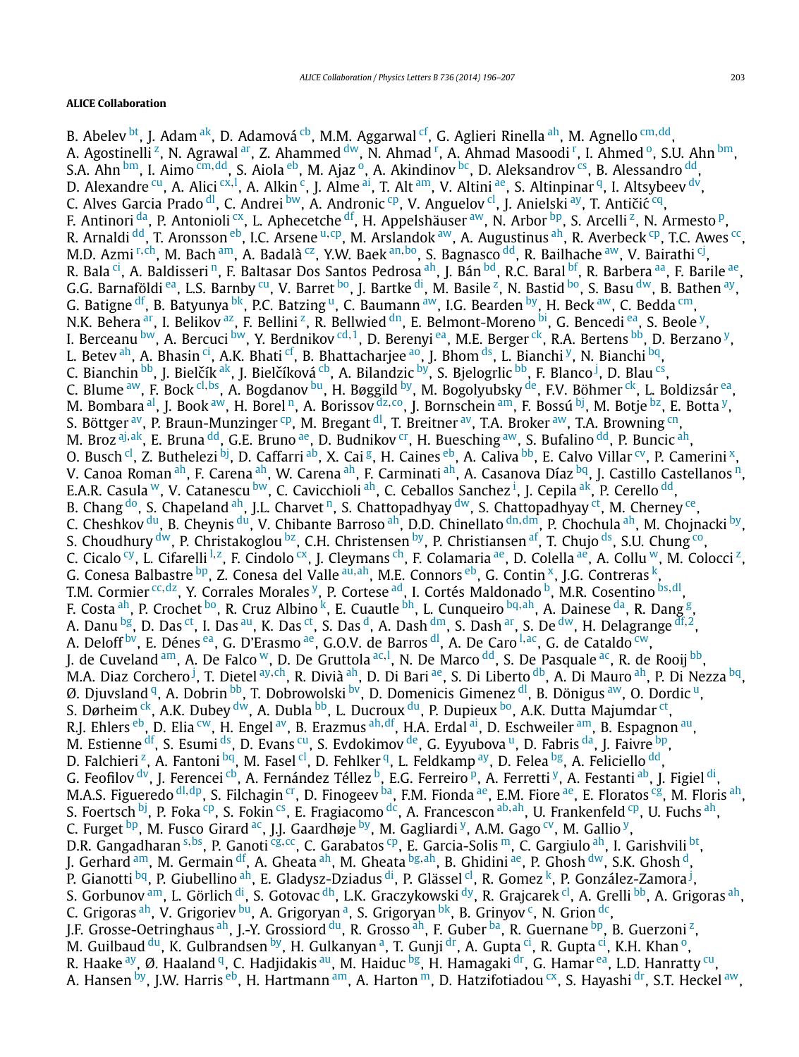#### <span id="page-7-0"></span>**ALICE Collaboration**

B. Abelev <sup>bt</sup>, J. Adam <sup>ak</sup>, D. Adamová <sup>cb</sup>, M.M. Aggarwal <sup>cf</sup>, G. Aglieri Rinella <sup>ah</sup>, M. Agnello <sup>[cm](#page-10-0), dd</sup>, A. Agostinelli <sup>z</sup>, N. Agrawal <sup>ar</sup>, Z. Ahammed <sup>[dw](#page-11-0)</sup>, N. Ahmad <sup>[r](#page-9-0)</sup>, A. Ahmad Masoodi <sup>r</sup>, I. Ahmed <sup>o</sup>, S.U. Ahn <sup>[bm](#page-10-0)</sup>, S.A. Ahn [bm,](#page-10-0) I. Aimo [cm](#page-10-0), [dd,](#page-11-0) S. Aiola [eb,](#page-11-0) M. Ajaz<sup>o</sup>, A. Akindinov <sup>bc</sup>, D. Aleksandrov <sup>[cs](#page-10-0)</sup>, B. Alessandro <sup>dd</sup>, D. Alexandre <sup>cu</sup>, A. Alici <sup>[cx](#page-10-0), [l](#page-9-0)</sup>, A. Alkin <sup>c</sup>, J. Alme <sup>ai</sup>, T. Alt <sup>am</sup>, V. Altini <sup>ae</sup>, S. Altinpinar <sup>q</sup>, I. Altsybeev <sup>dv</sup>, C. Alves Garcia Prado <sup>[dl](#page-11-0)</sup>, C. Andrei <sup>bw</sup>, A. Andronic <sup>cp</sup>, V. Anguelov <sup>cl</sup>, J. Anielski <sup>ay</sup>, T. Antičić <sup>cq</sup>, F. Antinori [da,](#page-11-0) P. Antonioli Cx, L. Aphecetche [df,](#page-11-0) H. Appelshäuser [aw,](#page-10-0) N. Arbor <sup>bp</sup>, S. Arcelli<sup>z</sup>, N. Armesto <sup>p</sup>, R. Arnaldi <s[u](#page-9-0)p>dd</sup>, T. Aronsson <sup>eb</sup>, I.C. Arsene <sup>u,cp</sup>, M. Arslandok <sup>aw</sup>, A. Augustinus <sup>ah</sup>, R. Averbeck <sup>cp</sup>, T.C. Awes <sup>cc</sup>, M.D. Azmi [r](#page-9-0)*,*[ch,](#page-10-0) M. Bach [am](#page-10-0), A. Badalà [cz,](#page-11-0) Y.W. Baek [an](#page-10-0)*,*[bo,](#page-10-0) S. Bagnasco [dd,](#page-11-0) R. Bailhache [aw](#page-10-0), V. Bairathi [cj,](#page-10-0) R. Bala <sup>ci</sup>, A. Baldisseri <sup>n</sup>, F. Baltasar Dos Santos Pedrosa <sup>ah</sup>, J. Bán <sup>bd</sup>, R.C. Baral <sup>bf</sup>, R. Barbera <sup>aa</sup>, F. Barile <sup>ae</sup>, G.G. Barnaföldi <sup>ea</sup>, L.S. Barnby <sup>cu</sup>, V. Barret <sup>[bo](#page-10-0)</sup>, J. Bartke <sup>di</sup>, M. Basile <sup>z</sup>, N. Bastid <sup>bo</sup>, S. Basu <sup>dw</sup>, B. Bathen <sup>ay</sup>, G. Batigne  $\frac{df}{dr}$ , B. Batyunya  $\frac{bk}{dr}$ , P.C. Batzing  $\frac{u}{dr}$ , C. Baumann  $\frac{aw}{dr}$ , I.G. Bearden  $\frac{by}{dr}$ , H. Beck  $\frac{aw}{dr}$ , C. Bedda  $\frac{cm}{dr}$ , N.K. Behera [ar,](#page-10-0) I. Belikov [az,](#page-10-0) F. Bellini<sup>z</sup>, R. Bellwied [dn,](#page-11-0) E. Belmont-Moreno [bi,](#page-10-0) G. Bencedi <sup>ea</sup>, S. Beole <sup>y</sup>, I. Berceanu <sup>[bw](#page-10-0)</sup>, A. Bercuci <sup>bw</sup>, Y. Berdnikov <sup>[cd](#page-10-0), 1</sup>, D. Berenyi <sup>ea</sup>, M.E. Berger <sup>ck</sup>, R.A. Bertens <sup>bb</sup>, D. Berzano <sup>y</sup>, L. Betev <sup>ah</sup>, A. Bhasin <sup>ci</sup>, A.K. Bhati <sup>cf</sup>, B. Bhattacharjee <sup>ao</sup>, J. Bhom <sup>ds</sup>, L. Bianchi <sup>y</sup>, N. Bianchi <sup>bq</sup>, C. Bianchin <sup>bb</sup>, J. Bielčík <sup>ak</sup>, J. Bielčíková <sup>cb</sup>, A. Bilandzic <sup>by</sup>, S. B[j](#page-9-0)elogrlic <sup>bb</sup>, F. Blanco <sup>j</sup>, D. Blau <sup>cs</sup>, C. Blume [aw,](#page-10-0) F. Bock <sup>[cl](#page-10-0),[bs](#page-10-0)</sup>, A. Bogdanov <sup>bu</sup>, H. Bøggild <sup>by</sup>, M. Bogolyubsky <sup>de</sup>, F.V. Böhmer <sup>ck</sup>, L. Boldizsár <sup>ea</sup>, M. Bombara [al,](#page-10-0) J. Book [aw,](#page-10-0) H. Borel [n,](#page-9-0) A. Borissov [dz](#page-11-0)*,*[co,](#page-10-0) J. Bornschein [am](#page-10-0), F. Bossú [bj,](#page-10-0) M. Botje [bz,](#page-10-0) E. Botta [y,](#page-10-0) S. Böttger  $a^V$ , P. Braun-Munzinger <sup>cp</sup>, M. Bregant [dl,](#page-11-0) T. Breitner  $a^V$ , T.A. Broker  $a^W$ , T.A. Browning [cn,](#page-10-0) M. Broz [aj](#page-10-0), [ak,](#page-10-0) E. Bruna [dd,](#page-11-0) G.E. Bruno [ae,](#page-10-0) D. Budnikov <sup>cr</sup>, H. Buesching [aw](#page-10-0), S. Bufalino dd, P. Buncic [ah,](#page-10-0) O. Busch <sup>cl</sup>, Z. Buthelezi [bj,](#page-10-0) D. Caffarri [ab,](#page-10-0) X. Cai [g](#page-9-0), H. Caines <sup>eb</sup>, A. Caliva <sup>bb</sup>, E. Calvo Villar <sup>cv</sup>, P. Camerini<sup>x</sup>, V. Canoa Roman <sup>[ah](#page-10-0)</sup>, F. Carena <sup>ah</sup>, W. Carena <sup>ah</sup>, F. Carminati <sup>ah</sup>, A. Casanova Díaz <sup>bq</sup>, J. Castillo Castellanos <sup>n</sup>, E.A.R. Casula <sup>w</sup>, V. Catanescu <sup>[bw](#page-10-0)</sup>, C. Cav[i](#page-9-0)cchioli <sup>ah</sup>, C. Ceballos Sanchez <sup>i</sup>, J. Cepila <sup>ak</sup>, P. Cerello <sup>dd</sup>, B. Chang [do,](#page-11-0) S. Chapeland [ah,](#page-10-0) J.L. Charvet [n,](#page-9-0) S. Chattopadhyay  $dw$ , S. Chattopadhyay  $ct$ , M. Cherney  $ce$ , C. Cheshkov [du,](#page-11-0) B. Cheynis [du,](#page-11-0) V. Chibante Barroso [ah,](#page-10-0) D.D. Chinellato [dn](#page-11-0)*,*[dm,](#page-11-0) P. Chochula [ah,](#page-10-0) M. Chojnacki [by](#page-10-0), S. Choudhury  $\frac{dw}{dw}$ , P. Christakoglou  $\frac{bz}{w}$ , C.H. Christensen  $\frac{by}{dw}$ , P. Christiansen  $\frac{af}{dw}$ , T. Chujo  $\frac{ds}{dw}$ , S.U. Chung  $\frac{ca}{dw}$ , C. Cicalo <sup>[cy](#page-11-0)</sup>, L. Cifare[l](#page-9-0)li <sup>1, z</sup>, F. Cindolo <sup>cx</sup>, J. Cleymans <sup>ch</sup>, F. Colamaria <sup>ae</sup>, D. Colella <sup>ae</sup>, A. Collu <sup>w</sup>, M. Colocci<sup> z</sup>, G. Conesa Balbastre <sup>bp</sup>, Z. Conesa del Valle <sup>[au](#page-10-0), ah</sup>, M.E. Connors <sup>eb</sup>, G. Contin <sup>x</sup>, J.G. Contreras <sup>[k](#page-9-0)</sup>, T.M. Cormier <sup>[cc](#page-10-0),dz</sup>, Y. Corrales Morales <sup>y</sup>, P. Cortese <sup>ad</sup>, I. Cortés Maldonado <sup>b</sup>, M.R. Cosentino <sup>[bs](#page-10-0),dl</sup>, F. Costa <sup>ah</sup>, P. Crochet <sup>bo</sup>, R. Cruz Albino <sup>k</sup>, E. Cuautle <sup>bh</sup>, L. Cunqueiro <sup>[bq](#page-10-0),ah</sup>, A. Dainese <sup>da</sup>, R. Dang <sup>g</sup>, A. Danu <sup>bg</sup>, D. Das <sup>[ct](#page-10-0)</sup>, I. Das <sup>au</sup>, K. Das <sup>ct</sup>, S. Das <sup>d</sup>, A. Dash <sup>dm</sup>, S. Dash <sup>[ar](#page-10-0)</sup>, S. De <sup>dw</sup>, H. Delagrange <sup>[df](#page-11-0), 2</sup>, A. De[l](#page-9-0)off<sup>bv</sup>, E. Dénes <sup>ea</sup>, G. D'Erasmo <sup>ae</sup>, G.O.V. de Barros <sup>dl</sup>, A. De Caro <sup>l,ac</sup>, G. de Cataldo <sup>cw</sup>, J. de Cuveland <sup>[am](#page-10-0)</sup>, A. De Falco <sup>w</sup>, D. De Gruttola <sup>[ac](#page-10-0), [l](#page-9-0)</sup>, N. De Marco <sup>dd</sup>, S. De Pasquale <sup>ac</sup>, R. de Rooij <sup>bb</sup>, M.A. Diaz Corchero <sup>[j](#page-9-0)</sup>, T. Dietel <sup>[ay](#page-10-0),ch</sup>, R. Divià <sup>ah</sup>, D. Di Bari <sup>[ae](#page-10-0)</sup>, S. Di Liberto <sup>db</sup>, A. Di Mauro <sup>ah</sup>, P. Di Nezza <sup>bq</sup>, Ø. Djuvsland <sup>q</sup>, A. Dobrin <sup>bb</sup>, T. Dobrowolski [bv](#page-10-0), D. Domenicis Gimenez <sup>dl</sup>, B. Dönigus <sup>aw</sup>, O. Dordic <sup>u</sup>, S. Dørheim Ck, A.K. Dubey [dw,](#page-11-0) A. Dubla [bb,](#page-10-0) L. Ducroux [du,](#page-11-0) P. Dupieux [bo,](#page-10-0) A.K. Dutta Majumdar Ct, R.J. Ehlers <sup>eb</sup>, D. Elia<sup>cw</sup>, H. Engel <sup>av</sup>, B. Erazmus <sup>[ah](#page-10-0), df</sup>, H.A. Erdal [ai,](#page-10-0) D. Eschweiler <sup>am</sup>, B. Espagnon <sup>au</sup>, M. Estienne [df,](#page-11-0) S. Esumi [ds,](#page-11-0) D. Evans [cu,](#page-10-0) S. Evdokimov [de,](#page-11-0) G. Eyyubova [u,](#page-9-0) D. Fabris [da,](#page-11-0) J. Faivre [bp,](#page-10-0) D. Falchieri<sup> z</sup>, A. Fantoni <sup>bq</sup>, M. Fasel <sup>[cl](#page-10-0)</sup>, D. Fehlker <sup>q</sup>, L. Feldkamp <sup>ay</sup>, D. Felea <sup>bg</sup>, A. Feliciello <sup>dd</sup>, G. Feofilov  $\frac{dv}{dv}$ , J. Ferencei  $\frac{cb}{dv}$ , A. Fernández Téllez  $\frac{b}{dv}$ , E.G. Ferreiro  $\frac{d}{dv}$ , A. Ferretti  $\frac{d}{dv}$ , A. Festanti  $\frac{db}{dv}$ , J. Figiel  $\frac{di}{dv}$ M.A.S. Figueredo <sup>[dl](#page-11-0),dp</sup>, S. Filchagin <sup>cr</sup>, D. Finogeev <sup>ba</sup>, F.M. Fionda <sup>ae</sup>, E.M. Fiore <sup>ae</sup>, E. Floratos <sup>cg</sup>, M. Floris <sup>ah</sup>, S. Foertsch [bj](#page-10-0), P. Foka <sup>cp</sup>, S. Fokin <sup>cs</sup>, E. Fragiacomo [dc,](#page-11-0) A. Francescon [ab](#page-10-0), [ah,](#page-10-0) U. Frankenfeld <sup>cp</sup>, U. Fuchs ah, C. Furget  $\rm^{bp}$ , M. Fusco Girard <sup>ac</sup>, J.J. Gaardhøje  $\rm^{by}$ , M. Gagliardi <sup>y</sup>, A.M. Gago <sup>cv</sup>, M. Gallio <sup>y</sup>, D.R. Gangadharan <[s](#page-9-0)up>s, bs</sup>, P. Ganoti [cg](#page-10-0), [cc,](#page-10-0) C. Garabatos [cp,](#page-10-0) E. Garcia-Solis [m,](#page-9-0) C. Gargiulo <sup>ah</sup>, I. Garishvili <sup>[bt](#page-10-0)</sup>, J. Gerhard [am,](#page-10-0) M. Germain [df,](#page-11-0) A. Gheata [ah,](#page-10-0) M. Gheata [bg](#page-10-0)*,*[ah,](#page-10-0) B. Ghidini [ae,](#page-10-0) P. Ghosh [dw,](#page-11-0) S.K. Ghosh [d,](#page-9-0) P. Gianotti <sup>bq</sup>, P. Giubellino <sup>ah</sup>, E. Gladysz-Dziadus <sup>[di](#page-11-0)</sup>, P. Glässel <sup>cl</sup>, R. Gomez <sup>k</sup>, P. González-Zamora <sup>[j](#page-9-0)</sup>, S. Gorbunov <sup>am</sup>, L. Görlich <sup>di</sup>, S. Gotovac <sup>dh</sup>, L.K. Graczykowski <sup>dy</sup>, R. Grajcarek <sup>cl</sup>, A. Grelli <sup>[bb](#page-10-0)</sup>, A. Grigoras <sup>ah</sup>, C. Grigor[a](#page-9-0)s <sup>ah</sup>, V. Grigoriev <sup>bu</sup>, A. Grigoryan <sup>a</sup>, S. Grigoryan <sup>[bk](#page-10-0)</sup>, B. Grinyov<sup>c</sup>, N. Grion <sup>dc</sup>, J.F. Grosse-Oetringhaus [ah,](#page-10-0) J.-Y. Grossiord [du,](#page-11-0) R. Grosso ah, F. Guber [ba,](#page-10-0) R. Guernane [bp,](#page-10-0) B. Guerzoni<sup>z</sup>, M. Guilbaud <sup>[du](#page-11-0)</sup>, K. Gulbrandsen <sup>by</sup>, H. Gulkanyan <sup>a</sup>, T. Gunji <sup>dr</sup>, A. Gupta <sup>ci</sup>, R. Gupta <sup>ci</sup>, K.H. Khan <sup>o</sup>, R. Haake <sup>ay</sup>, Ø. Haaland <sup>q</sup>, C. Hadjidakis <sup>au</sup>, M. Haiduc <sup>bg</sup>, H. Hamagaki <sup>dr</sup>, G. Hamar <sup>ea</sup>, L.D. Hanratty <sup>cu</sup>, A. Hansen [by,](#page-10-0) J.W. Harris [eb,](#page-11-0) H. Hartmann [am,](#page-10-0) A. Harton [m,](#page-9-0) D. Hatzifotiadou CX, S. Hayashi [dr](#page-11-0), S.T. Heckel [aw](#page-10-0),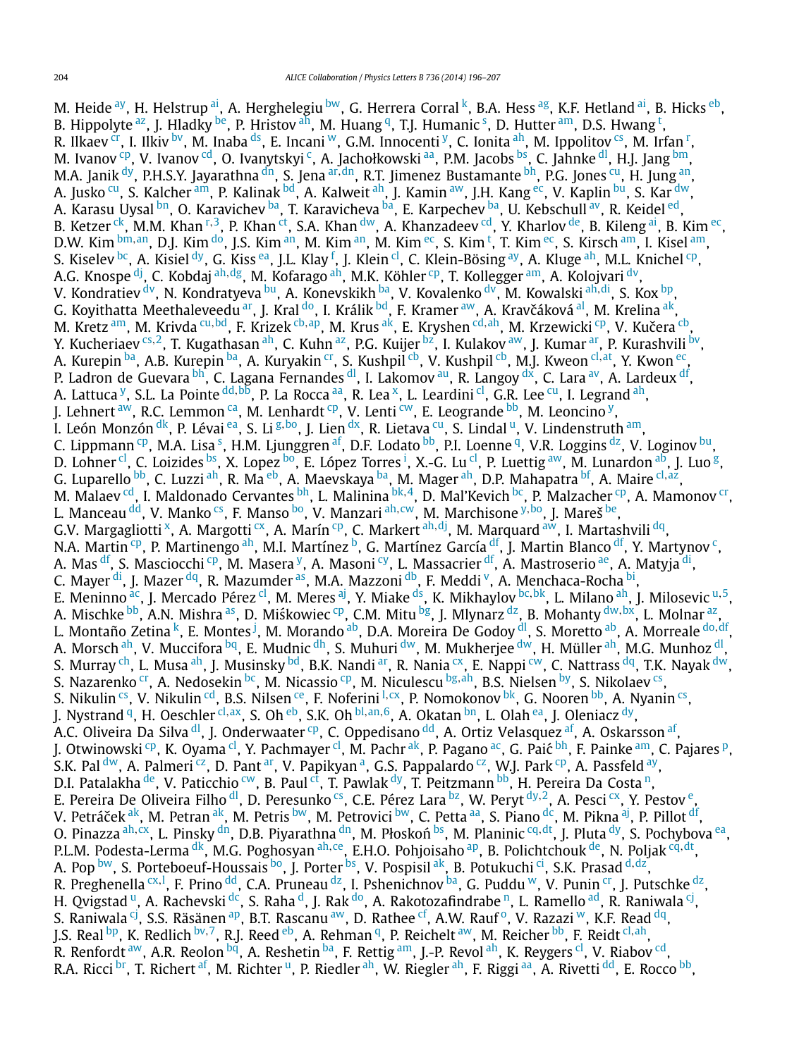M. Heide [ay,](#page-10-0) H. Helstrup [ai,](#page-10-0) A. Herghelegiu [bw,](#page-10-0) G. Herrera Corral [k,](#page-9-0) B.A. Hess [ag,](#page-10-0) K.F. Hetland ai, B. Hicks [eb,](#page-11-0) B. Hippolyte <sup>az</sup>, J. Hladky <sup>be</sup>, P. Hristov <sup>[ah](#page-10-0)</[s](#page-9-0)up>, M. Huang <sup>q</sup>, T.J. Humanic <sup>s</sup>, D. Hu[t](#page-9-0)ter <sup>am</sup>, D.S. Hwang <sup>t</sup>, R. Ilkaev <sup>cr</sup>, I. Ilkiv <sup>bv</sup>, M. Inaba <sup>ds</sup>, E. Incani <sup>[w](#page-9-0)</sup>, G.M. Innocenti <sup>y</sup>, C. Ionita <sup>ah</sup>, M. Ippolitov <sup>[cs](#page-10-0)</sup>, M. I[r](#page-9-0)fan <sup>r</sup>, M. Ivanov CP, V. Ivanov Cd, O. Ivanytskyi <sup>[c](#page-9-0)</sup>, A. Jachołkowski [aa](#page-10-0), P.M. Jacobs [bs,](#page-10-0) C. Jahnke [dl,](#page-11-0) H.J. Jang [bm,](#page-10-0) M.A. Janik <sup>dy</sup>, P.H.S.Y. Jay[ar](#page-10-0)athna <sup>dn</sup>, S. Jena <sup>ar,dn</sup>, R.T. Jimenez Bustamante <sup>[bh](#page-10-0)</sup>, P.G. Jones <sup>cu</sup>, H. Jung <sup>an</sup>, A. Jusko <sup>cu</sup>, S. Kalcher <sup>am</sup>, P. Kalinak <sup>bd</sup>, A. Kalweit <sup>ah</sup>, J. Kamin <sup>aw</sup>, J.H. Kang <sup>ec</sup>, V. Kaplin <sup>bu</sup>, S. Kar <sup>dw</sup>, A. Karasu Uysal <sup>bn</sup>, O. Kar[av](#page-10-0)ichev <sup>ba</sup>, T. Karavicheva <sup>ba</sup>, E. Karpechev <sup>ba</sup>, U. Kebschull <sup>av</sup>, R. Keidel <sup>[ed](#page-11-0)</sup>, B. Ketzer <sup>[ck](#page-10-0)</sup>, M.M. Khan <sup>[r](#page-9-0),3</sup>, P. Khan <sup>ct</sup>, S.A. Khan <sup>dw</sup>, A. Khanzadeev <sup>cd</sup>, Y. Kharlov <sup>de</sup>, B. Kileng <sup>ai</sup>, B. Kim <sup>ec</sup>, D.W. Kim <sup>[bm](#page-10-0),an</sup>, D.J. Kim <sup>do</sup>, J.S. Kim <sup>an</sup>, M. Kim <sup>an</sup>, M. Kim <sup>ec</sup>, S. Kim <sup>[t](#page-9-0)</sup>, T. Kim <sup>ec</sup>, S. Kirsch <sup>am</sup>, I. Kisel <sup>am</sup>, S. Kiselev <sup>bc</sup>, A. Kisiel <sup>dy</sup>, G. Kiss <sup>ea</sup>, J.L. Klay <sup>[f](#page-9-0)</sup>, J. Klein <sup>cl</sup>, C. Klein-Bösing <sup>ay</sup>, A. Kluge <sup>ah</sup>, M.L. Knichel <sup>cp</sup>, A.G. Knospe <sup>dj</sup>, C. Kobdaj <sup>[ah](#page-10-0),dg</sup>, M. Kofarago <sup>ah</sup>, M.K. Köhler <sup>cp</sup>, T. Kollegger <sup>am</sup>, A. Kolojvari <sup>dv</sup>, V. Kondratiev <sup>dv</sup>, N. Kondratyeva <sup>bu</sup>, A. Konevskikh <sup>ba</sup>, V. Kovalenko <sup>dv</sup>, M. Kowalski <sup>[ah](#page-10-0),di</sup>, S. Kox <sup>[bp](#page-10-0)</sup>, G. Koyithatta Meethaleveedu <sup>ar</sup>, J. Kral <sup>do</sup>, I. Králik <sup>bd</sup>, F. Kramer <sup>[aw](#page-10-0)</sup>, A. Kravčáková <sup>al</sup>, M. Krelina <sup>ak</sup>, M. Kretz [am,](#page-10-0) M. Krivda [cu](#page-10-0)*,*[bd,](#page-10-0) F. Krizek [cb](#page-10-0)*,*[ap,](#page-10-0) M. Krus [ak,](#page-10-0) E. Kryshen [cd](#page-10-0)*,*[ah,](#page-10-0) M. Krzewicki [cp,](#page-10-0) V. Kucera ˇ [cb,](#page-10-0) Y. Kucheriaev <sup>[cs](#page-10-0),2</sup>, T. Kugathasan <sup>ah</sup>, C. Kuhn <sup>az</sup>, P.G. Kuijer <sup>bz</sup>, I. Kulakov <sup>aw</sup>, J. Kumar <sup>ar</sup>, P. Kurashvili <sup>bv</sup>, A. Kurepin <sup>ba</sup>, A.B. Kurepin <sup>ba</sup>, A. Kuryakin <sup>cr</sup>, S. Kushpil <sup>cb</sup>, V. Kushpil <sup>cb</sup>, M.J. Kweon <sup>[cl](#page-10-0), at</sup>, Y. Kwon <sup>ec</sup>, P. Ladron de Guevara [bh,](#page-10-0) C. Lagana Fernandes d, I. Lakomov [au](#page-10-0), R. Langoy [dx,](#page-11-0) C. Lara [av,](#page-10-0) A. Lardeux [df,](#page-11-0) A. Lattuca <sup>y</sup>, S.L. La Pointe <sup>[dd](#page-11-0),bb</sup>, P. La Rocca <sup>aa</sup>, R. Lea <sup>x</sup>, L. Leardini <sup>cl</sup>, G.R. Lee <sup>cu</sup>, I. Legrand <sup>ah</sup>, J. Lehnert <sup>[aw](#page-10-0)</sup>, R.C. Lemmon <sup>ca</sup>, M. Lenhardt <sup>cp</sup>, V. Lenti <sup>cw</sup>, E. Leogrande <sup>bb</sup>, M. Leoncino <sup>y</sup>, I. León Monzón <sup>dk</sup>, P. Lévai <sup>ea</sup>, S. Li <sup>[g](#page-9-0), bo</sup>, J. Lien <sup>dx</sup>, R. Lietava <sup>cu</sup>, S. Lindal <sup>u</sup>, V. Lindenstruth <sup>am</sup>, C. Lippmann <[s](#page-9-0)up>cp</sup>, M.A. Lisa <sup>s</sup>, H.M. Ljunggren <sup>af</sup>, D.F. Lodato <sup>bb</sup>, P.I. Loenne <sup>[q](#page-9-0)</sup>, V.R. Loggins <sup>dz</sup>, V. Loginov <sup>bu</sup>, D. Lohner <sup>cl</sup>, C. Loizides <sup>bs</sup>, X. Lopez <sup>[bo](#page-10-0)</sup>, E. López Torres <sup>[i](#page-9-0)</sup>, X.-G. Lu <sup>[cl](#page-10-0)</sup>, P. Luettig <sup>aw</sup>, M. Lunardon <sup>ab</sup>, J. Luo <sup>g</sup>, G. Luparello [bb,](#page-10-0) C. Luzzi [ah,](#page-10-0) R. Ma [eb,](#page-11-0) A. Maevskaya [ba,](#page-10-0) M. Mager [ah,](#page-10-0) D.P. Mahapatra [bf,](#page-10-0) A. Maire [cl](#page-10-0)*,*[az,](#page-10-0) M. Malaev <sup>[cd](#page-10-0)</sup>, I. Maldonado Cervantes <sup>[bh](#page-10-0)</sup>, L. Malinina <sup>[bk](#page-10-0), 4</sup>, D. Mal'Kevich <sup>bc</sup>, P. Malzacher <sup>[cp](#page-10-0)</sup>, A. Mamonov <sup>cr</sup>, L. Manceau <sup>dd</sup>, V. Manko<sup>cs</sup>, F. Manso <sup>bo</sup>, V. Manzari <sup>[ah](#page-10-0), cw</sup>, M. Marchisone <sup>[y](#page-10-0), bo</sup>, J. Mareš <sup>be</sup>, G.V. Margagliotti<sup>x</sup>, A. Margotti<sup>cx</sup>, A. Marín<sup>cp</sup>, C. Markert [ah](#page-10-0), [dj](#page-11-0), M. Marquard [aw,](#page-10-0) I. Martashvili<sup>dq</sup>, N.A. Martin <sup>cp</sup>, P. Martinengo <sup>ah</sup>, M.I. Martínez <sup>b</sup>, G. Martínez García <sup>df</sup>, J. Martin Blanco <sup>df</sup>, Y. Martynov <sup>c</sup>, A. Mas <sup>df</sup>, S. Masciocchi <sup>cp</sup>, M. Masera <sup>y</sup>, A. Masoni <sup>[cy](#page-11-0)</sup>, L. Massacrier <sup>df</sup>, A. Mastroserio <sup>ae</sup>, A. Matyja <sup>di</sup>, C. Mayer  $\frac{di}{i}$ , J. Mazer  $\frac{dq}{i}$ , R. Mazumder [as,](#page-10-0) M.A. Mazzoni  $\frac{db}{i}$ , F. Meddi <sup>v</sup>, A. Menchaca-Rocha  $\frac{bi}{i}$  $\frac{bi}{i}$  $\frac{bi}{i}$ , E. Meninno <sup>ac</sup>, J. Mercado Pérez <sup>cl</sup>, M. Meres [aj,](#page-10-0) Y. Miake [ds,](#page-11-0) K. Mikhaylov [bc](#page-10-0), [bk,](#page-10-0) L. Milano [ah,](#page-10-0) J. Milosevic [u](#page-9-0), [5,](#page-11-0) A. Mischke [bb,](#page-10-0) A.N. Mishra [as,](#page-10-0) D. Miskowiec <sup>cp</sup>, C.M. Mitu [bg,](#page-10-0) J. Mlynarz <sup>dz</sup>, B. Mohanty <sup>[dw](#page-11-0),bx</sup>, L. Molnar <sup>[az](#page-10-0)</sup>, L. Montaño Zetina <sup>k</sup>, E. Montes <sup>[j](#page-9-0)</sup>, M. Morando <sup>ab</sup>, D.A. Moreira De Godoy <sup>[dl](#page-11-0)</sup>, S. Moretto <sup>ab</sup>, A. Morreale <sup>[do](#page-11-0),df</sup>, A. Morsch [ah,](#page-10-0) V. Muccifora <sup>bq</sup>, E. Mudnic <sup>dh</sup>, S. Muhuri <sup>dw</sup>, M. Mukherjee <sup>dw</sup>, H. Müller ah, M.G. Munhoz <sup>dl</sup>, S. Murray [ch,](#page-10-0) L. Musa [ah,](#page-10-0) J. Musinsky [bd,](#page-10-0) B.K. Nandi [ar,](#page-10-0) R. Nania Cx, E. Nappi Cw, C. Nattrass [dq,](#page-11-0) T.K. Nayak [dw,](#page-11-0) S. Nazarenko <sup>cr</sup>, A. Nedosekin <sup>bc</sup>, M. Nicassio <sup>cp</sup>, M. Niculescu <sup>[bg](#page-10-0), ah</sup>, B.S. Nielsen <sup>by</sup>, S. Nikolaev <sup>[cs](#page-10-0)</sup>, S. Niku[l](#page-9-0)in <sup>cs</sup>, V. Nikulin <sup>cd</sup>, B.S. Nilsen <sup>ce</sup>, F. Noferini <sup>l,cx</sup>, P. Nomokonov <sup>bk</sup>, G. Nooren <sup>bb</sup>, A. Nyanin <sup>cs</sup>, J. Nystrand [q,](#page-9-0) H. Oeschler [cl](#page-10-0)*,*[ax,](#page-10-0) S. Oh [eb,](#page-11-0) S.K. Oh [bl](#page-10-0)*,*[an](#page-10-0)*,*[6,](#page-11-0) A. Okatan [bn,](#page-10-0) L. Olah [ea,](#page-11-0) J. Oleniacz [dy,](#page-11-0) A.C. Oliveira Da Silva <sup>dl</sup>, J. Onderwaater <sup>cp</sup>, C. Oppedisano <sup>dd</sup>, A. Ortiz Velasquez <sup>af</sup>, A. Oskarsson <sup>af</sup>, J. Otwinowski <sup>cp</sup>, K. Oyama <sup>cl</sup>, Y. Pachmayer <sup>cl</sup>, M. Pachr <sup>ak</sup>, P. Pagano <sup>ac</sup>, G. Paić <sup>bh</sup>, F. Painke <sup>am</sup>, C. Pajares <sup>p</sup>, S.K. Pal <sup>dw</sup>, A. Palmeri<sup>cz</sup>, D. Pant [ar,](#page-10-0) V. P[a](#page-9-0)pikyan <sup>a</sup>, G.S. Pappalardo <sup>cz</sup>, W.J. Park <sup>cp</sup>, A. Passfeld <sup>[ay](#page-10-0)</sup>, D.I. Patalakha <sup>de</sup>, V. Paticchio <sup>cw</sup>, B. Paul <sup>ct</sup>, T. Pawlak <sup>dy</sup>, T. Peitzmann [bb](#page-10-0), H. Pereira Da Costa<sup>n</sup>, E. Pereira De Oliveira Filho <sup>dl</sup>, D. Peresunko <sup>cs</sup>, C.E. Pérez Lara <sup>bz</sup>, W. Peryt <sup>[dy](#page-11-0), 2</sup>, A. Pesci <sup>cx</sup>, Y. Pestov <sup>e</sup>, V. Petráček <sup>ak</sup>, M. Petran <sup>ak</sup>, M. Petris <sup>bw</sup>, M. Petrovici <sup>bw</sup>, C. Petta <sup>aa</sup>, S. Piano <sup>dc</sup>, M. Pikna <sup>aj</sup>, P. Pillot <sup>df</sup>, O. Pinazza <sup>[ah](#page-10-0),cx</sup>, L. Pinsky <sup>dn</sup>, D.B. Piyarathna <sup>dn</sup>, M. Płoskoń <sup>bs</sup>, M. Planinic <sup>[cq](#page-10-0),dt</sup>, J. Pluta <sup>dy</sup>, S. Pochybova <sup>ea</sup>, P.L.M. Podesta-Lerma [dk,](#page-11-0) M.G. Poghosyan [ah](#page-10-0)*,*[ce,](#page-10-0) E.H.O. Pohjoisaho [ap,](#page-10-0) B. Polichtchouk [de,](#page-11-0) N. Poljak [cq](#page-10-0)*,*[dt](#page-11-0), A. Pop [bw](#page-10-0), S. Porteboeuf-Houssais [bo,](#page-10-0) J. Porter [bs,](#page-10-0) V. Pospisil [ak,](#page-10-0) B. Potukuchi [ci,](#page-10-0) S.K. Prasad [d](#page-9-0)*,*[dz,](#page-11-0) R. Preghenella <sup>[cx](#page-10-0), [l](#page-9-0)</sup>, F. Prino <sup>dd</sup>, C.A. Pruneau <sup>dz</sup>, I. Pshenichnov <sup>ba</sup>, G. Puddu <sup>w</sup>, V. Punin <sup>cr</sup>, J. Putschke <sup>dz</sup>, H. Qvigstad <sup>u</sup>, A. Rachevski [dc,](#page-11-0) S. Raha [d,](#page-9-0) J. Rak [do,](#page-11-0) A. Rakotozafindrabe <sup>n</sup>, L. Ramello <sup>ad</sup>, R. Raniwala [cj,](#page-10-0) S. Raniwala <sup>cj</sup>, S.S. Räsänen <sup>ap</sup>, B.T. Rascanu <sup>[aw](#page-10-0)</sup>, D. Rathee <sup>cf</sup>, A.W. Rauf <sup>o</sup>, V. Razazi <sup>w</sup>, K.F. Read <sup>dq</sup>, J.S. Real <sup>bp</sup>, K. Redlich <sup>[bv](#page-10-0), [7](#page-11-0)</sup>, R.J. Reed <sup>eb</sup>, A. Rehman <sup>q</sup>, P. Reichelt <sup>aw</sup>, M. Reicher <sup>bb</sup>, F. Reidt <sup>[cl](#page-10-0), ah</sup>, R. Renfordt [aw,](#page-10-0) A.R. Reolon [bq,](#page-10-0) A. Reshetin [ba,](#page-10-0) F. Rettig [am,](#page-10-0) J.-P. Revol [ah,](#page-10-0) K. Reygers [cl,](#page-10-0) V. Riabov [cd,](#page-10-0) R.A. Ricci <sup>br</sup>, T. Richert <sup>af</sup>, M. Richter <sup>u</sup>, P. Riedler <sup>ah</sup>, W. Riegler <sup>ah</sup>, F. Riggi <sup>aa</sup>, A. Rivetti <sup>dd</sup>, E. Rocco <sup>bb</sup>,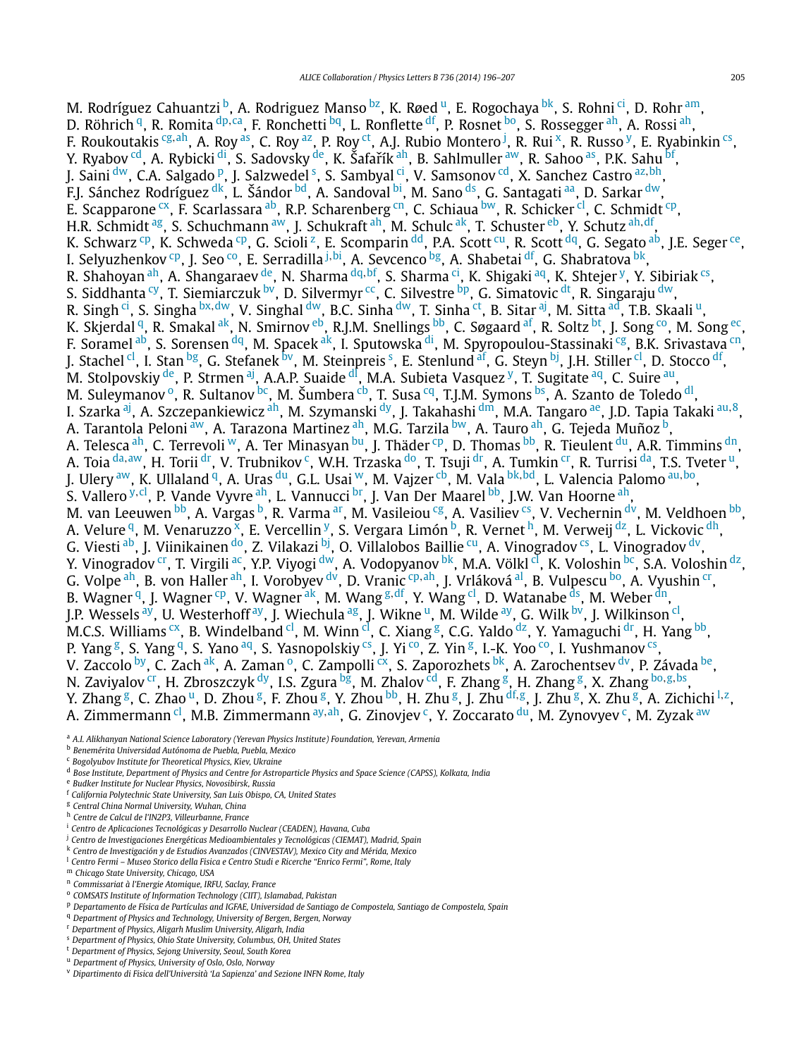<span id="page-9-0"></span>M. Rodríguez Cahuantzi<sup>b</sup>, A. Rodriguez Manso <sup>bz</sup>, K. Røed <sup>u</sup>, E. Rogochaya <sup>bk</sup>, S. Rohni <sup>ci</sup>, D. Rohr [am,](#page-10-0) D. Röhrich <sup>q</sup>, R. Romita [dp](#page-11-0), [ca,](#page-10-0) F. Ronchetti <sup>bq</sup>, L. Ronflette [df,](#page-11-0) P. Rosnet [bo,](#page-10-0) S. Rossegger [ah,](#page-10-0) A. Rossi ah, F. Roukoutakis <sup>[cg](#page-10-0),[ah](#page-10-0)</sup>, A. Roy <sup>as</sup>, C. Roy <sup>az</sup>, P. Roy <sup>ct</sup>, A.J. Rubio Montero <sup>j</sup>, R. Rui <sup>x</sup>, R. Russo <sup>y</sup>, E. Ryabinkin <sup>cs</sup>, Y. Ryabov <sup>cd</sup>, A. Rybicki <sup>di</sup>, S. Sadovsky <sup>de</sup>, K. Šafařík <sup>ah</sup>, B. Sahlmuller <sup>aw</sup>, R. Sahoo <sup>as</sup>, P.K. Sahu <sup>bf</sup>, J. Saini <sup>[dw](#page-11-0)</sup>, C.A. Salgado <sup>p</sup>, J. Salzwedel <sup>s</sup>, S. Sambyal <sup>ci</sup>, V. Samsonov <sup>cd</sup>, X. Sanchez Castro <sup>[az](#page-10-0), bh</sup>, F.J. Sánchez Rodríguez <sup>dk</sup>, L. Šándor <sup>bd</sup>, A. Sandoval <sup>bi</sup>, M. Sano <sup>ds</sup>, G. Santagati <sup>aa</sup>, D. Sarkar <sup>[dw](#page-11-0)</sup>, E. Scapparone <sup>cx</sup>, F. Scarlassara <sup>ab</sup>, R.P. Scharenberg <sup>cn</sup>, C. Schiaua <sup>[bw](#page-10-0)</sup>, R. Schicker <sup>cl</sup>, C. Schmidt <sup>cp</sup>, H.R. Schmidt [ag,](#page-10-0) S. Schuchmann [aw,](#page-10-0) J. Schukraft [ah,](#page-10-0) M. Schulc [ak,](#page-10-0) T. Schuster [eb,](#page-11-0) Y. Schutz [ah](#page-10-0)*,*[df,](#page-11-0) K. Schwar[z](#page-10-0) <sup>cp</sup>, K. Schweda <sup>cp</sup>, G. Scioli<sup> z</sup>, E. Scomparin <sup>dd</sup>, P.A. Scott <sup>cu</sup>, R. Scott <sup>dq</sup>, G. Segato <sup>[ab](#page-10-0)</sup>, I.E. Seger <sup>ce</sup>, I. Selyuzhenkov <sup>cp</sup>, J. Seo <sup>co</sup>, E. Serradilla <sup>j,bi</sup>, A. Sevcenco <sup>bg</sup>, A. Shabetai <sup>df</sup>, G. Shabratova <sup>bk</sup>, R. Shahoyan <sup>ah</sup>, A. Shangaraev <sup>de</sup>, N. Sharma <sup>[dq](#page-11-0),bf</sup>, S. Sharma <sup>ci</sup>, K. Shigaki <sup>aq</sup>, K. Shtejer <sup>y</sup>, Y. Sibiriak <sup>cs</sup>, S. Siddhanta <sup>[cy](#page-11-0)</sup>, T. Siemiarczuk by, D. Silvermyr <sup>cc</sup>, C. Silvestre  $\frac{bp}{p}$ , G. Simatovic [dt,](#page-11-0) R. Singaraju [dw,](#page-11-0) R. Singh <sup>ci</sup>, S. Singha <sup>[bx](#page-10-0),[dw](#page-11-0)</sup>, V. Singhal <sup>dw</sup>, B.C. Sinha <sup>dw</sup>, T. Sinha <sup>ct</sup>, B. Sitar <sup>[aj](#page-10-0)</sup>, M. Sitta <sup>ad</sup>, T.B. Skaali <sup>u</sup>, K. Skjerdal <sup>q</sup>, R. Smakal <sup>ak</sup>, N. Smirnov <sup>eb</sup>, R.J.M. Snellings <sup>[bb](#page-10-0)</sup>, C. Søgaard <sup>af</sup>, R. Soltz <sup>[bt](#page-10-0)</sup>, J. Song <sup>co</sup>, M. Song <sup>ec</sup>, F. Soramel <sup>ab</sup>, S. Sorensen <sup>dq</sup>, M. Spacek <sup>ak</sup>, I. Sputowska <sup>di</sup>, M. Spyropoulou-Stassinaki <sup>[cg](#page-10-0)</sup>, B.K. Srivastava <sup>[cn](#page-10-0)</sup>, J. Stachel <sup>cl</sup>, I. Stan <sup>[bg](#page-10-0)</sup>, G. Stefanek <sup>bv</sup>, M. Steinpreis <sup>s</sup>, E. Stenlund <sup>af</sup>, G. Steyn <sup>bj</sup>, J.H. Stiller <sup>cl</sup>, D. Stocco <sup>df</sup>, M. Stolpovskiy [de,](#page-11-0) P. Strmen [aj,](#page-10-0) A.A.P. Suaide [dl,](#page-11-0) M.A. Subieta Vasquez <sup>y</sup>, T. Sugitate [aq,](#page-10-0) C. Suire [au,](#page-10-0) M. Suleymanov <sup>o</sup>, R. Sultanov <sup>bc</sup>, M. Šumbera <sup>cb</sup>, T. Susa <sup>cq</sup>, T.J.M. Symons <sup>[bs](#page-10-0)</sup>, A. Szanto de Toledo <sup>dl</sup>, I. Szarka <sup>aj</sup>, A. Szczepankiewicz <sup>ah</sup>, M. Szymanski <sup>[dy](#page-11-0)</sup>, J. Takahashi <sup>dm</sup>, M.A. Tangaro <sup>ae</sup>, J.D. Tapia Takaki <sup>[au](#page-10-0),[8](#page-11-0)</sup>, A. Tarantola Peloni <sup>aw</sup>, A. Tarazona Martinez <sup>[ah](#page-10-0)</sup>, M.G. Tarzila <sup>bw</sup>, A. Tauro <sup>ah</sup>, G. Tejeda Muñoz <sup>b</sup>, A. Telesca <sup>ah</sup>, C. Terrevoli <sup>w</sup>, A. Ter Minasyan <sup>[bu](#page-10-0)</sup>, J. Thäder <sup>[cp](#page-10-0)</sup>, D. Thomas <sup>bb</sup>, R. Tieulent <sup>du</sup>, A.R. Timmins <sup>dn</sup>, A. Toia <sup>[da](#page-11-0), [aw](#page-10-0)</sup>, H. Torii <sup>dr</sup>, V. Trubnikov<sup>c</sup>, W.H. Trzaska <sup>do</sup>, T. Tsuji <sup>dr</sup>, A. Tumkin <sup>cr</sup>, R. Turrisi <sup>da</sup>, T.S. Tveter <sup>u</sup>, J. Ulery [aw,](#page-10-0) K. Ullaland q, A. Uras [du,](#page-11-0) G.L. Usai w, M. Vajzer [cb,](#page-10-0) M. Vala [bk](#page-10-0)*,*[bd,](#page-10-0) L. Valencia Palomo [au](#page-10-0)*,*[bo](#page-10-0), S. Vallero <sup>[y](#page-10-0), cl</sup>, P. Vande Vyvre <sup>ah</sup>, L. Vannucci <sup>[br](#page-10-0)</sup>, J. Van Der Maarel <sup>bb</sup>, J.W. Van Hoorne <sup>ah</sup>, M. van Leeuwen <sup>bb</sup>, A. Vargas <sup>b</sup>, R. Varma <sup>ar</sup>, M. Vasileiou <sup>[cg](#page-10-0)</sup>, A. Vasiliev <sup>cs</sup>, V. Vechernin <sup>dv</sup>, M. Veldhoen <sup>bb</sup>, A. Velure <sup>q</sup>, M. Venaruzzo <sup>[x](#page-10-0)</sup>, E. Vercellin <sup>y</sup>, S. Vergara Limón <sup>b</sup>, R. Vernet <sup>h</sup>, M. Verweij <sup>dz</sup>, L. Vickovic <sup>dh</sup>, G. Viesti <sup>[ab](#page-10-0)</sup>, J. Viinikainen <sup>do</sup>, Z. Vilakazi <sup>bj</sup>, O. Villalobos Baillie <sup>cu</sup>, A. Vinogradov <sup>cs</sup>, L. Vinogradov <sup>[dv](#page-11-0)</sup>, Y. Vinogradov <sup>cr</sup>, T. Virgili <sup>ac</sup>, Y.P. Viyogi <sup>[dw](#page-11-0)</sup>, A. Vodopyanov <sup>bk</sup>, M.A. Völkl <sup>cl</sup>, K. Voloshin <sup>bc</sup>, S.A. Voloshin <sup>dz</sup>, G. Volpe [ah,](#page-10-0) B. von Haller [ah,](#page-10-0) I. Vorobyev [dv,](#page-11-0) D. Vranic [cp](#page-10-0)*,*[ah,](#page-10-0) J. Vrláková [al,](#page-10-0) B. Vulpescu [bo,](#page-10-0) A. Vyushin [cr,](#page-10-0) B. Wagner <sup>q</sup>, J. Wagner <sup>cp</sup>, V. Wagner <sup>ak</sup>, M. Wang <sup>g, df</sup>, Y. Wang <sup>cl</sup>, D. Watanabe [ds,](#page-11-0) M. Weber [dn,](#page-11-0) J.P. Wessels [ay,](#page-10-0) U. Westerhoff ay, J. Wiechula [ag,](#page-10-0) J. Wikne <sup>u</sup>, M. Wilde ay, G. Wilk by, J. Wilkinson <sup>cl</sup>, M.C.S. Williams <sup>cx</sup>, B. Windelband <sup>cl</sup>, M. Winn <sup>cl</sup>, C. Xiang <sup>g</sup>, C.G. Yaldo <sup>dz</sup>, Y. Yamaguchi <sup>dr</sup>, H. Yang <sup>bb</sup>, P. Yang <sup>g</sup>, S. Yang <sup>q</sup>, S. Yano <sup>aq</sup>, S. Yasnopolskiy <sup>cs</sup>, J. Yi <sup>co</sup>, Z. Yin <sup>g</sup>, I.-K. Yoo <sup>co</sup>, I. Yushmanov <sup>cs</sup>, V. Zaccolo [by,](#page-10-0) C. Zach [ak,](#page-10-0) A. Zaman <sup>o</sup>, C. Zampolli Cx, S. Zaporozhets [bk,](#page-10-0) A. Zarochentsev [dv,](#page-11-0) P. Závada [be,](#page-10-0) N. Zaviyalov <sup>cr</sup>, H. Zbroszczyk <sup>dy</sup>, I.S. Zgura <sup>bg</sup>, M. Zhalov <sup>cd</sup>, F. Zhang <sup>g</sup>, H. Zhang <sup>g</sup>, X. Zhang <sup>[bo](#page-10-0),g,bs</sup>, Y. Zhang g, C. Zhao u, D. Zhou g, F. Zhou g, Y. Zhou [bb,](#page-10-0) H. Zhu g, J. Zhu [df](#page-11-0)*,*g, J. Zhu g, X. Zhu g, A. Zichichi <sup>l</sup>*,*[z,](#page-10-0) A. Zimmermann <sup>cl</sup>, M.B. Zimmermann [ay](#page-10-0), [ah,](#page-10-0) G. Zinovjev <sup>c</sup>, Y. Zoccarato [du,](#page-11-0) M. Zynovyev <sup>c</sup>, M. Zyzak [aw](#page-10-0)

- <sup>a</sup> *A.I. Alikhanyan National Science Laboratory (Yerevan Physics Institute) Foundation, Yerevan, Armenia*
- <sup>b</sup> *Benemérita Universidad Autónoma de Puebla, Puebla, Mexico*
- <sup>c</sup> *Bogolyubov Institute for Theoretical Physics, Kiev, Ukraine*
- <sup>d</sup> Bose Institute, Department of Physics and Centre for Astroparticle Physics and Space Science (CAPSS), Kolkata, India
- <sup>e</sup> *Budker Institute for Nuclear Physics, Novosibirsk, Russia*
- <sup>f</sup> *California Polytechnic State University, San Luis Obispo, CA, United States*
- <sup>g</sup> *Central China Normal University, Wuhan, China* <sup>h</sup> *Centre de Calcul de l'IN2P3, Villeurbanne, France*
- 
- <sup>i</sup> *Centro de Aplicaciones Tecnológicas y Desarrollo Nuclear (CEADEN), Havana, Cuba*
- <sup>j</sup> *Centro de Investigaciones Energéticas Medioambientales y Tecnológicas (CIEMAT), Madrid, Spain*
- <sup>k</sup> *Centro de Investigación y de Estudios Avanzados (CINVESTAV), Mexico City and Mérida, Mexico*
- <sup>l</sup> *Centro Fermi – Museo Storico della Fisica e Centro Studi e Ricerche "Enrico Fermi", Rome, Italy*
- <sup>m</sup> *Chicago State University, Chicago, USA*
- <sup>n</sup> *Commissariat à l'Energie Atomique, IRFU, Saclay, France* <sup>o</sup> *COMSATS Institute of Information Technology (CIIT), Islamabad, Pakistan*
- 
- <sup>p</sup> Departamento de Física de Partículas and IGFAE, Universidad de Santiago de Compostela, Santiago de Compostela, Spain
- <sup>q</sup> *Department of Physics and Technology, University of Bergen, Bergen, Norway*
- <sup>r</sup> *Department of Physics, Aligarh Muslim University, Aligarh, India*
- <sup>s</sup> *Department of Physics, Ohio State University, Columbus, OH, United States*
- <sup>t</sup> *Department of Physics, Sejong University, Seoul, South Korea*
- <sup>u</sup> *Department of Physics, University of Oslo, Oslo, Norway*
- <sup>v</sup> *Dipartimento di Fisica dell'Università 'La Sapienza' and Sezione INFN Rome, Italy*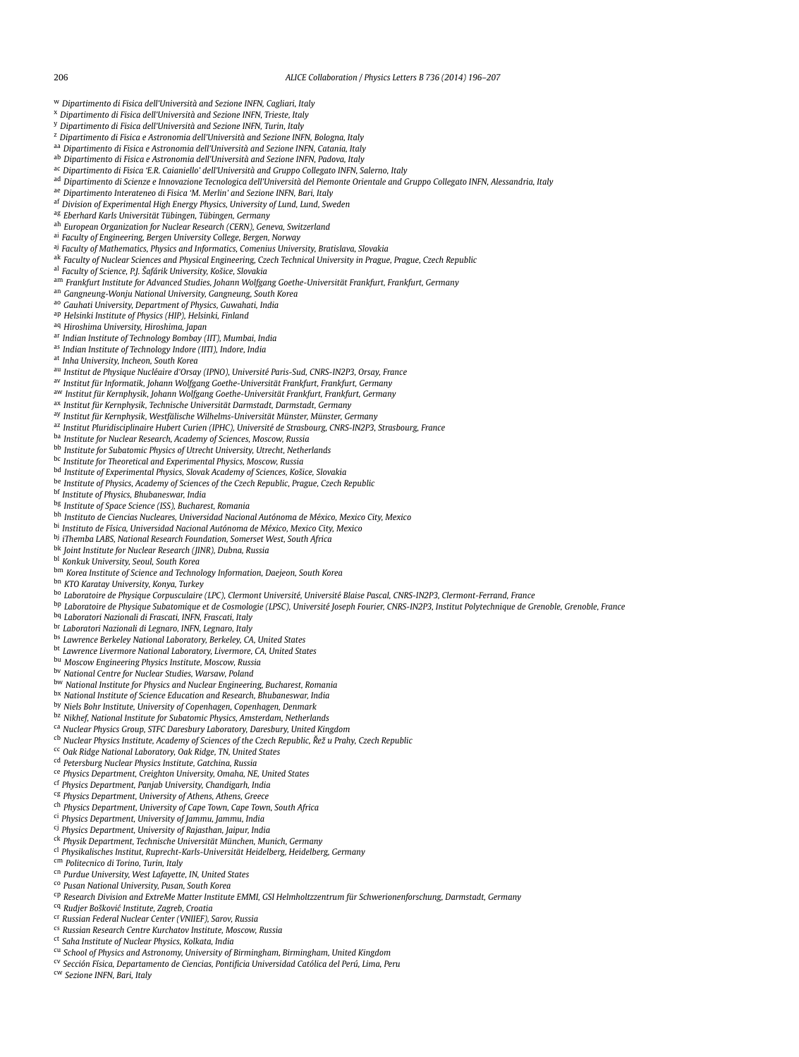- <span id="page-10-0"></span><sup>w</sup> *Dipartimento di Fisica dell'Università and Sezione INFN, Cagliari, Italy*
- <sup>x</sup> *Dipartimento di Fisica dell'Università and Sezione INFN, Trieste, Italy*
- <sup>y</sup> *Dipartimento di Fisica dell'Università and Sezione INFN, Turin, Italy*
- <sup>z</sup> *Dipartimento di Fisica e Astronomia dell'Università and Sezione INFN, Bologna, Italy*
- aa *Dipartimento di Fisica e Astronomia dell'Università and Sezione INFN, Catania, Italy*
- ab *Dipartimento di Fisica e Astronomia dell'Università and Sezione INFN, Padova, Italy*
- ac *Dipartimento di Fisica 'E.R. Caianiello' dell'Università and Gruppo Collegato INFN, Salerno, Italy*
- ad Dipartimento di Scienze e Innovazione Tecnologica dell'Università del Piemonte Orientale and Gruppo Collegato INFN, Alessandria, Italy
- ae *Dipartimento Interateneo di Fisica 'M. Merlin' and Sezione INFN, Bari, Italy*
- af *Division of Experimental High Energy Physics, University of Lund, Lund, Sweden*
- ag *Eberhard Karls Universität Tübingen, Tübingen, Germany*
- ah *European Organization for Nuclear Research (CERN), Geneva, Switzerland*
- ai *Faculty of Engineering, Bergen University College, Bergen, Norway*
- aj *Faculty of Mathematics, Physics and Informatics, Comenius University, Bratislava, Slovakia*
- ak *Faculty of Nuclear Sciences and Physical Engineering, Czech Technical University in Prague, Prague, Czech Republic*
- al *Faculty of Science, P.J. Šafárik University, Košice, Slovakia*
- am *Frankfurt Institute for Advanced Studies, Johann Wolfgang Goethe-Universität Frankfurt, Frankfurt, Germany*
- an *Gangneung-Wonju National University, Gangneung, South Korea*
- ao *Gauhati University, Department of Physics, Guwahati, India*
- ap *Helsinki Institute of Physics (HIP), Helsinki, Finland*
- aq *Hiroshima University, Hiroshima, Japan*
- ar *Indian Institute of Technology Bombay (IIT), Mumbai, India*
- as *Indian Institute of Technology Indore (IITI), Indore, India*
- at *Inha University, Incheon, South Korea*
- au *Institut de Physique Nucléaire d'Orsay (IPNO), Université Paris-Sud, CNRS-IN2P3, Orsay, France*
- av *Institut für Informatik, Johann Wolfgang Goethe-Universität Frankfurt, Frankfurt, Germany*
- aw *Institut für Kernphysik, Johann Wolfgang Goethe-Universität Frankfurt, Frankfurt, Germany*
- ax *Institut für Kernphysik, Technische Universität Darmstadt, Darmstadt, Germany*
- ay *Institut für Kernphysik, Westfälische Wilhelms-Universität Münster, Münster, Germany*
- az *Institut Pluridisciplinaire Hubert Curien (IPHC), Université de Strasbourg, CNRS-IN2P3, Strasbourg, France*
- ba *Institute for Nuclear Research, Academy of Sciences, Moscow, Russia*
- bb *Institute for Subatomic Physics of Utrecht University, Utrecht, Netherlands*
- bc *Institute for Theoretical and Experimental Physics, Moscow, Russia*
- bd *Institute of Experimental Physics, Slovak Academy of Sciences, Košice, Slovakia*
- be *Institute of Physics, Academy of Sciences of the Czech Republic, Prague, Czech Republic*
- bf *Institute of Physics, Bhubaneswar, India*
- bg *Institute of Space Science (ISS), Bucharest, Romania*
- bh *Instituto de Ciencias Nucleares, Universidad Nacional Autónoma de México, Mexico City, Mexico*
- bi *Instituto de Física, Universidad Nacional Autónoma de México, Mexico City, Mexico*
- bj *iThemba LABS, National Research Foundation, Somerset West, South Africa*
- bk *Joint Institute for Nuclear Research (JINR), Dubna, Russia*
- bl *Konkuk University, Seoul, South Korea*
- bm *Korea Institute of Science and Technology Information, Daejeon, South Korea*
- bn *KTO Karatay University, Konya, Turkey*
- bo *Laboratoire de Physique Corpusculaire (LPC), Clermont Université, Université Blaise Pascal, CNRS-IN2P3, Clermont-Ferrand, France*
- bp Laboratoire de Physique Subatomique et de Cosmologie (LPSC), Université Joseph Fourier, CNRS-IN2P3, Institut Polytechnique de Grenoble, Grenoble, France
- bq *Laboratori Nazionali di Frascati, INFN, Frascati, Italy*
- br *Laboratori Nazionali di Legnaro, INFN, Legnaro, Italy*
- bs *Lawrence Berkeley National Laboratory, Berkeley, CA, United States*
- bt *Lawrence Livermore National Laboratory, Livermore, CA, United States*
- bu *Moscow Engineering Physics Institute, Moscow, Russia*
- bv *National Centre for Nuclear Studies, Warsaw, Poland*
- bw *National Institute for Physics and Nuclear Engineering, Bucharest, Romania*
- 
- bx *National Institute of Science Education and Research, Bhubaneswar, India*
- by *Niels Bohr Institute, University of Copenhagen, Copenhagen, Denmark*
- bz *Nikhef, National Institute for Subatomic Physics, Amsterdam, Netherlands*
- ca *Nuclear Physics Group, STFC Daresbury Laboratory, Daresbury, United Kingdom*
- cb *Nuclear Physics Institute, Academy of Sciences of the Czech Republic, Rež ˇ u Prahy, Czech Republic*
- cc *Oak Ridge National Laboratory, Oak Ridge, TN, United States*
- cd *Petersburg Nuclear Physics Institute, Gatchina, Russia*
- ce *Physics Department, Creighton University, Omaha, NE, United States*
- cf *Physics Department, Panjab University, Chandigarh, India*
- cg *Physics Department, University of Athens, Athens, Greece*
- ch *Physics Department, University of Cape Town, Cape Town, South Africa*
- ci *Physics Department, University of Jammu, Jammu, India*
- cj *Physics Department, University of Rajasthan, Jaipur, India*
- ck *Physik Department, Technische Universität München, Munich, Germany*
- cl *Physikalisches Institut, Ruprecht-Karls-Universität Heidelberg, Heidelberg, Germany*
- cm *Politecnico di Torino, Turin, Italy*
- cn *Purdue University, West Lafayette, IN, United States*
- co *Pusan National University, Pusan, South Korea*
- cp *Research Division and ExtreMe Matter Institute EMMI, GSI Helmholtzzentrum für Schwerionenforschung, Darmstadt, Germany*
- cq *Rudjer Boškovi´c Institute, Zagreb, Croatia*
- cr *Russian Federal Nuclear Center (VNIIEF), Sarov, Russia*
- cs *Russian Research Centre Kurchatov Institute, Moscow, Russia*
- ct *Saha Institute of Nuclear Physics, Kolkata, India*
- cu *School of Physics and Astronomy, University of Birmingham, Birmingham, United Kingdom*
- cv *Sección Física, Departamento de Ciencias, Pontificia Universidad Católica del Perú, Lima, Peru*
- cw *Sezione INFN, Bari, Italy*